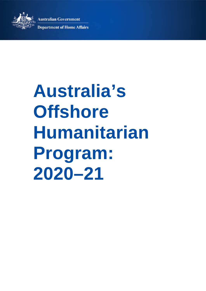**Australian Government** 



**Department of Home Affairs** 

# **Australia's Offshore Humanitarian Program: 2020–21**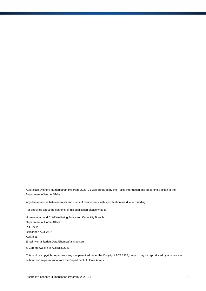Australia's Offshore Humanitarian Program: 2020–21 was prepared by the Public Information and Reporting Section of the Department of Home Affairs.

Any discrepancies between totals and sums of components in this publication are due to rounding.

For enquiries about the contents of this publication please write to:

Humanitarian and Child Wellbeing Policy and Capability Branch Department of Home Affairs PO Box 25 Belconnen ACT 2616 Australia Email: Humanitarian.Data@homeaffairs.gov.au

© Commonwealth of Australia 2021

This work is copyright. Apart from any use permitted under the Copyright ACT 1968, no part may be reproduced by any process without written permission from the Department of Home Affairs.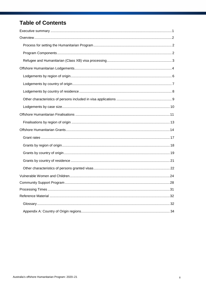## **Table of Contents**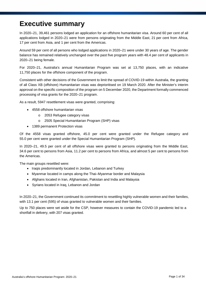# **Executive summary**

In 2020–21, 39,461 persons lodged an application for an offshore humanitarian visa. Around 60 per cent of all applications lodged in 2020–21 were from persons originating from the Middle East, 21 per cent from Africa, 17 per cent from Asia, and 1 per cent from the Americas.

Around 59 per cent of all persons who lodged applications in 2020–21 were under 30 years of age. The gender balance has remained relatively unchanged over the past five program years with 48.4 per cent of applicants in 2020–21 being female.

For 2020–21, Australia's annual Humanitarian Program was set at 13,750 places, with an indicative 11,750 places for the offshore component of the program.

Consistent with other decisions of the Government to limit the spread of COVID-19 within Australia, the granting of all Class XB (offshore) Humanitarian visas was deprioritised on 19 March 2020. After the Minister's interim approval on the specific composition of the program on 5 December 2020, the Department formally commenced processing of visa grants for the 2020–21 program.

As a result, 5947 resettlement visas were granted, comprising:

- 4558 offshore humanitarian visas
	- o 2053 Refugee category visas
	- o 2505 Special Humanitarian Program (SHP) visas
- 1389 permanent Protection visas

Of the 4558 visas granted offshore, 45.0 per cent were granted under the Refugee category and 55.0 per cent were granted under the Special Humanitarian Program (SHP).

In 2020–21, 49.5 per cent of all offshore visas were granted to persons originating from the Middle East, 34.6 per cent to persons from Asia, 11.2 per cent to persons from Africa, and almost 5 per cent to persons from the Americas.

The main groups resettled were:

- Iraqis predominantly located in Jordan, Lebanon and Turkey
- Myanmar located in camps along the Thai–Myanmar border and Malaysia
- Afghans located in Iran, Afghanistan, Pakistan and India and Malaysia
- Syrians located in Iraq, Lebanon and Jordan

In 2020–21, the Government continued its commitment to resettling highly vulnerable women and their families, with 13.1 per cent (595) of visas granted to vulnerable women and their families.

Up to 750 places were set aside for the CSP, however measures to contain the COVID-19 pandemic led to a shortfall in delivery, with 207 visas granted.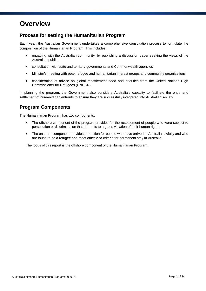# **Overview**

### **Process for setting the Humanitarian Program**

Each year, the Australian Government undertakes a comprehensive consultation process to formulate the composition of the Humanitarian Program. This includes:

- engaging with the Australian community, by publishing a discussion paper seeking the views of the Australian public;
- consultation with state and territory governments and Commonwealth agencies
- Minister's meeting with peak refugee and humanitarian interest groups and community organisations
- consideration of advice on global resettlement need and priorities from the United Nations High Commissioner for Refugees (UNHCR).

In planning the program, the Government also considers Australia's capacity to facilitate the entry and settlement of humanitarian entrants to ensure they are successfully integrated into Australian society.

### **Program Components**

The Humanitarian Program has two components:

- The offshore component of the program provides for the resettlement of people who were subject to persecution or discrimination that amounts to a gross violation of their human rights.
- The onshore component provides protection for people who have arrived in Australia lawfully and who are found to be a refugee and meet other visa criteria for permanent stay in Australia.

The focus of this report is the offshore component of the Humanitarian Program.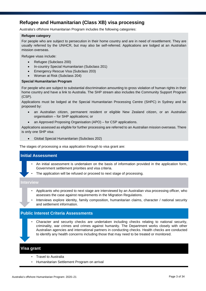### **Refugee and Humanitarian (Class XB) visa processing**

Australia's offshore Humanitarian Program includes the following categories:

### **Refugee category**

For people who are subject to persecution in their home country and are in need of resettlement. They are usually referred by the UNHCR, but may also be self-referred. Applications are lodged at an Australian mission overseas.

Refugee visas include:

- Refugee (Subclass 200)
- In-country Special Humanitarian (Subclass 201)
- Emergency Rescue Visa (Subclass 203)
- Woman at Risk (Subclass 204)

### **Special Humanitarian Program**

For people who are subject to substantial discrimination amounting to gross violation of human rights in their home country and have a link to Australia. The SHP stream also includes the Community Support Program (CSP).

Applications must be lodged at the Special Humanitarian Processing Centre (SHPC) in Sydney and be proposed by:

- an Australian citizen, permanent resident or eligible New Zealand citizen, or an Australian organisation – for SHP applications; or
- an Approved Proposing Organisation (APO) for CSP applications.

Applications assessed as eligible for further processing are referred to an Australian mission overseas. There is only one SHP visa:

Global Special Humanitarian (Subclass 202)

The stages of processing a visa application through to visa grant are:

### **Initial Assessment**

- An initial assessment is undertaken on the basis of information provided in the application form, Government settlement priorities and visa criteria.
- The application will be refused or proceed to next stage of processing.

#### **Interview**

- Applicants who proceed to next stage are interviewed by an Australian visa processing officer, who assesses the case against requirements in the Migration Regulations.
- Interviews explore identity, family composition, humanitarian claims, character / national security and settlement information.

### **Public Interest Criteria Assessments**

• Character and security checks are undertaken including checks relating to national security, criminality, war crimes and crimes against humanity. The Department works closely with other Australian agencies and international partners in conducting checks. Health checks are conducted to identify any health concerns including those that may need to be treated or monitored.

### **Visa grant**

- Travel to Australia
- Humanitarian Settlement Program on arrival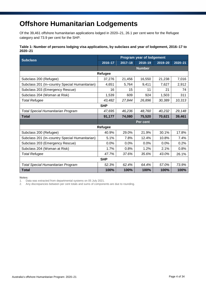# **Offshore Humanitarian Lodgements**

Of the 39,461 offshore humanitarian applications lodged in 2020–21, 26.1 per cent were for the Refugee category and 73.9 per cent for the SHP.

### **Table 1: Number of persons lodging visa applications, by subclass and year of lodgement, 2016–17 to 2020–21**

|                                                | <b>Program year of lodgement</b> |             |               |             |             |  |  |
|------------------------------------------------|----------------------------------|-------------|---------------|-------------|-------------|--|--|
| <b>Subclass</b>                                | 2016-17                          | $2017 - 18$ | $2018 - 19$   | $2019 - 20$ | $2020 - 21$ |  |  |
|                                                |                                  |             | <b>Number</b> |             |             |  |  |
|                                                | Refugee                          |             |               |             |             |  |  |
| Subclass 200 (Refugee)                         | 37,276                           | 21,456      | 16,550        | 21,238      | 7,016       |  |  |
| Subclass 201 (In-country Special Humanitarian) | 4,651                            | 5,764       | 9,411         | 7,627       | 2,912       |  |  |
| Subclass 203 (Emergency Rescue)                | 16                               | 15          | 11            | 21          | 74          |  |  |
| Subclass 204 (Woman at Risk)                   | 1,539                            | 609         | 924           | 1,503       | 311         |  |  |
| <b>Total Refugee</b>                           | 43,482                           | 27,844      | 26,896        | 30,389      | 10,313      |  |  |
|                                                | <b>SHP</b>                       |             |               |             |             |  |  |
| <b>Total Special Humanitarian Program</b>      | 47,695                           | 46,236      | 48,760        | 40,232      | 29,148      |  |  |
| <b>Total</b>                                   | 91,177                           | 74,080      | 75,520        | 70,621      | 39,461      |  |  |
|                                                |                                  |             | Per cent      |             |             |  |  |
|                                                | Refugee                          |             |               |             |             |  |  |
| Subclass 200 (Refugee)                         | 40.9%                            | 29.0%       | 21.9%         | 30.1%       | 17.8%       |  |  |
| Subclass 201 (In-country Special Humanitarian) | 5.1%                             | 7.8%        | 12.4%         | 10.8%       | 7.4%        |  |  |
| Subclass 203 (Emergency Rescue)                | 0.0%                             | 0.0%        | 0.0%          | 0.0%        | 0.2%        |  |  |
| Subclass 204 (Woman at Risk)                   | 1.7%                             | 0.8%        | 1.2%          | 2.1%        | 0.8%        |  |  |
| <b>Total Refugee</b>                           | 47.7%                            | 37.6%       | 35.6%         | 43.0%       | 26.1%       |  |  |
|                                                | <b>SHP</b>                       |             |               |             |             |  |  |
| <b>Total Special Humanitarian Program</b>      | 52.3%                            | 62.4%       | 64.4%         | 57.0%       | 73.9%       |  |  |
| <b>Total</b>                                   | 100%                             | 100%        | 100%          | 100%        | 100%        |  |  |

**Notes:**

1. Data was extracted from departmental systems on 05 July 2021.

2. Any discrepancies between per cent totals and sums of components are due to rounding.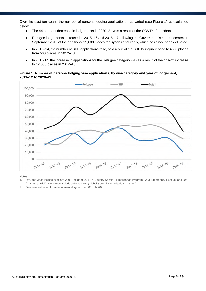Over the past ten years, the number of persons lodging applications has varied (see Figure 1) as explained below:

- The 44 per cent decrease in lodgements in 2020–21 was a result of the COVID-19 pandemic.
- Refugee lodgements increased in 2015–16 and 2016–17 following the Government's announcement in September 2015 of the additional 12,000 places for Syrians and Iraqis, which has since been delivered.
- In 2013–14, the number of SHP applications rose, as a result of the SHP being increased to 4500 places from 500 places in 2012–13.
- In 2013-14, the increase in applications for the Refugee category was as a result of the one-off increase to 12,000 places in 2012–13.

### **Figure 1: Number of persons lodging visa applications, by visa category and year of lodgement, 2011–12 to 2020–21**



- 1. Refugee visas include subclass 200 (Refugee), 201 (In–Country Special Humanitarian Program), 203 (Emergency Rescue) and 204 (Woman at Risk). SHP visas include subclass 202 (Global Special Humanitarian Program).
- 2. Data was extracted from departmental systems on 05 July 2021.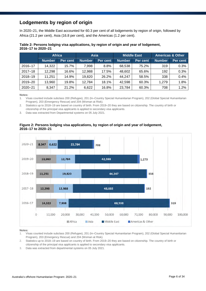### **Lodgements by region of origin**

In 2020–21, the Middle East accounted for 60.3 per cent of all lodgements by region of origin, followed by Africa (21.2 per cent), Asia (16.8 per cent), and the Americas (1.2 per cent).

| LUIU II LU LULU LI |               |               |               |          |               |                    |                             |          |  |
|--------------------|---------------|---------------|---------------|----------|---------------|--------------------|-----------------------------|----------|--|
|                    |               | <b>Africa</b> | <b>Asia</b>   |          |               | <b>Middle East</b> | <b>Americas &amp; Other</b> |          |  |
|                    | <b>Number</b> | Per cent      | <b>Number</b> | Per cent | <b>Number</b> | Per cent           | <b>Number</b>               | Per cent |  |
| 2016-17            | 14,322        | 15.7%         | 7.998         | 8.8%     | 68,538        | 75.2%              | 319                         | 0.3%     |  |
| $2017 - 18$        | 12,298        | 16.6%         | 12,988        | 17.5%    | 48,602        | 65.6%              | 192                         | 0.3%     |  |
| $2018 - 19$        | 11.251        | 14.9%         | 19,820        | 26.2%    | 44.247        | 58.5%              | 338                         | 0.4%     |  |
| 2019-20            | 13,960        | 19.8%         | 12,784        | 18.1%    | 42,598        | 60.3%              | 1.279                       | 1.8%     |  |
| $2020 - 21$        | 8,347         | 21.2%         | 6,622         | 16.8%    | 23,784        | 60.3%              | 708                         | 1.2%     |  |

#### **Table 2: Persons lodging visa applications, by region of origin and year of lodgement, 2016–17 to 2020–21**

**Notes:**

1. Visas counted include subclass 200 (Refugee), 201 (In–Country Special Humanitarian Program), 202 (Global Special Humanitarian Program), 203 (Emergency Rescue) and 204 (Woman at Risk).

2. Statistics up to 2018–19 are based on country of birth. From 2019–20 they are based on citizenship. The country of birth or citizenship of the principal visa applicants is applied to secondary visa applicants.

3. Data was extracted from Departmental systems on 05 July 2021.

### **Figure 2: Persons lodging visa applications, by region of origin and year of lodgement, 2016–17 to 2020–21**



- 1. Visas counted include subclass 200 (Refugee), 201 (In–Country Special Humanitarian Program), 202 (Global Special Humanitarian Program), 203 (Emergency Rescue) and 204 (Woman at Risk).
- 2. Statistics up to 2018–19 are based on country of birth. From 2019–20 they are based on citizenship. The country of birth or citizenship of the principal visa applicants is applied to secondary visa applicants.
- 3. Data was extracted from departmental systems on 05 July 2021.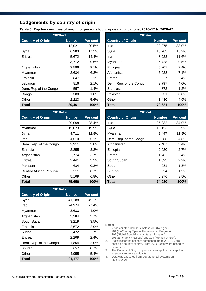### **Lodgements by country of origin**

**Table 3: Top ten countries of origin for persons lodging visa applications, 2016–17 to 2020–21**

| $2020 - 21$              | 2019-20       |          |                          |
|--------------------------|---------------|----------|--------------------------|
| <b>Country of Origin</b> | <b>Number</b> | Per cent | <b>Country of Origin</b> |
| Iraq                     | 12,021        | 30.5%    | Iraq                     |
| Syria                    | 6,903         | 17.5%    | Syria                    |
| Eritrea                  | 5,672         | 14.4%    | Iran                     |
| Iran                     | 3,772         | $9.6\%$  | Myanmar                  |
| Afghanistan              | 3,586         | 9.1%     | Ethiopia                 |
| Myanmar                  | 2,684         | 6.8%     | Afghanistan              |
| Ethiopia                 | 847           | 2.1%     | Eritrea                  |
| Lebanon                  | 816           | 2.1%     | Dem. Rep. of the Congo   |
| Dem. Rep of the Congo    | 557           | 1.4%     | <b>Stateless</b>         |
| Congo                    | 380           | 1.0%     | Pakistan                 |
| Other                    | 2,223         | 5.6%     | Other                    |
| Total                    | 39,461        | 100%     | Total                    |

| 2018-19                  |               |          |  |  |  |  |  |
|--------------------------|---------------|----------|--|--|--|--|--|
| <b>Country of Origin</b> | <b>Number</b> | Per cent |  |  |  |  |  |
| Iraq                     | 29,068        | 38.4%    |  |  |  |  |  |
| Myanmar                  | 15,023        | 19.9%    |  |  |  |  |  |
| Syria                    | 9,711         | 12.8%    |  |  |  |  |  |
| Iran                     | 4,619         | 6.1%     |  |  |  |  |  |
| Dem. Rep. of the Congo   | 2,911         | $3.8\%$  |  |  |  |  |  |
| Ethiopia                 | 2,855         | 3.8%     |  |  |  |  |  |
| Afghanistan              | 2,774         | 3.7%     |  |  |  |  |  |
| Eritrea                  | 2,441         | 3.2%     |  |  |  |  |  |
| Pakistan                 | 634           | 0.8%     |  |  |  |  |  |
| Central African Republic | 511           | 0.7%     |  |  |  |  |  |
| Other                    | 5,109         | 6.8%     |  |  |  |  |  |
| Total                    | 75,656        | 100%     |  |  |  |  |  |

| 2016-17                  |               |          |  |  |  |  |  |
|--------------------------|---------------|----------|--|--|--|--|--|
| <b>Country of Origin</b> | <b>Number</b> | Per cent |  |  |  |  |  |
| Syria                    | 41,188        | 45.2%    |  |  |  |  |  |
| Iraq                     | 24,974        | 27.4%    |  |  |  |  |  |
| Myanmar                  | 3,633         | 4.0%     |  |  |  |  |  |
| Afghanistan              | 3,384         | 3.7%     |  |  |  |  |  |
| South Sudan              | 3,219         | 3.5%     |  |  |  |  |  |
| Ethiopia                 | 2,672         | 2.9%     |  |  |  |  |  |
| Sudan                    | 2,422         | 2.7%     |  |  |  |  |  |
| Eritrea                  | 2,209         | $2.4\%$  |  |  |  |  |  |
| Dem. Rep. of the Congo   | 1,864         | 2.0%     |  |  |  |  |  |
| <b>Bhutan</b>            | 657           | $0.7\%$  |  |  |  |  |  |
| Other                    | 4,955         | 5.4%     |  |  |  |  |  |
| Total                    | 91,177        | 100%     |  |  |  |  |  |

| $2020 - 21$              |               |          | $2019 - 20$              |               |          |  |
|--------------------------|---------------|----------|--------------------------|---------------|----------|--|
| <b>Country of Origin</b> | <b>Number</b> | Per cent | <b>Country of Origin</b> | <b>Number</b> | Per cent |  |
| Iraq                     | 12,021        | 30.5%    | Iraq                     | 23,275        | 33.0%    |  |
| Syria                    | 6,903         | 17.5%    | Syria                    | 10,703        | 15.2%    |  |
| Eritrea                  | 5,672         | 14.4%    | Iran                     | 8,223         | 11.6%    |  |
| Iran                     | 3,772         | 9.6%     | Myanmar                  | 6,728         | 9.5%     |  |
| Afghanistan              | 3,586         | 9.1%     | Ethiopia                 | 5,207         | 7.4%     |  |
| Myanmar                  | 2,684         | 6.8%     | Afghanistan              | 5,028         | 7.1%     |  |
| Ethiopia                 | 847           | 2.1%     | Eritrea                  | 3,827         | 5.4%     |  |
| Lebanon                  | 816           | 2.1%     | Dem. Rep. of the Congo   | 2,797         | 4.0%     |  |
| Dem. Rep of the Congo    | 557           | 1.4%     | <b>Stateless</b>         | 872           | 1.2%     |  |
| Congo                    | 380           | 1.0%     | Pakistan                 | 531           | 0.8%     |  |
| Other                    | 2,223         | 5.6%     | Other                    | 3,430         | 4.9%     |  |
| Total                    | 39,461        | 100%     | <b>Total</b>             | 70,621        | 100%     |  |

| $2018 - 19$              |               |          | $2017 - 18$              |               |          |  |
|--------------------------|---------------|----------|--------------------------|---------------|----------|--|
| <b>Country of Origin</b> | <b>Number</b> | Per cent | <b>Country of Origin</b> | <b>Number</b> | Per cent |  |
| Iraq                     | 29,068        | 38.4%    | Iraq                     | 25,832        | 34.9%    |  |
| Myanmar                  | 15,023        | 19.9%    | Syria                    | 19,153        | 25.9%    |  |
| Syria                    | 9,711         | 12.8%    | Myanmar                  | 9,447         | 12.8%    |  |
| Iran                     | 4,619         | 6.1%     | Dem. Rep. of the Congo   | 3,585         | 4.8%     |  |
| Dem. Rep. of the Congo   | 2,911         | 3.8%     | Afghanistan              | 2,487         | 3.4%     |  |
| Ethiopia                 | 2,855         | 3.8%     | Ethiopia                 | 2,020         | 2.7%     |  |
| Afghanistan              | 2,774         | 3.7%     | Eritrea                  | 1,782         | 2.4%     |  |
| Eritrea                  | 2,441         | 3.2%     | South Sudan              | 1,593         | 2.2%     |  |
| Pakistan                 | 634           | 0.8%     | Sudan                    | 981           | 1.3%     |  |
| Central African Republic | 511           | 0.7%     | <b>Burundi</b>           | 924           | 1.2%     |  |
| Other                    | 5,109         | 6.8%     | Other                    | 6,276         | 8.5%     |  |
| Total                    | 75,656        | 100%     | <b>Total</b>             | 74,080        | 100%     |  |

- 1. Visas counted include subclass 200 (Refugee), 201 (In–Country Special Humanitarian Program), 202 (Global Special Humanitarian Program), 203 (Emergency Rescue) and 204 (Woman at Risk).
- 2. Statistics for the offshore component up to 2018–19 are based on country of birth. From 2019–20 they are based on citizenship.
- 3. The Country of Origin of principal visa applicants is applied to secondary visa applicants.
- 4. Data was extracted from Departmental systems on 05 July 2021.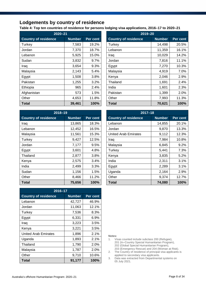### **Lodgements by country of residence**

**Table 4: Top ten countries of residence for persons lodging visa applications, 2016–17 to 2020–21**

| $2020 - 21$                 |               |          | $2019 - 20$                 |               |          |  |
|-----------------------------|---------------|----------|-----------------------------|---------------|----------|--|
| <b>Country of residence</b> | <b>Number</b> | Per cent | <b>Country of residence</b> | <b>Number</b> | Per cent |  |
| Turkey                      | 7,583         | 19.2%    | Turkey                      | 14,498        | 20.5%    |  |
| Jordan                      | 7,370         | 18.7%    | Lebanon                     | 11,359        | 16.1%    |  |
| Lebanon                     | 5,925         | 15.0%    | Iraq                        | 10,029        | 14.2%    |  |
| Sudan                       | 3,832         | 9.7%     | Jordan                      | 7,816         | 11.1%    |  |
| Iraq                        | 3,654         | 9.3%     | Egypt                       | 7,270         | 10.3%    |  |
| Malaysia                    | 2,143         | 5.4%     | Malaysia                    | 4,919         | 7.0%     |  |
| Egypt                       | 1,508         | 3.8%     | Kenya                       | 2,046         | 2.9%     |  |
| Pakistan                    | 1,255         | 3.2%     | Thailand                    | 1,691         | 2.4%     |  |
| Ethiopia                    | 965           | 2.4%     | India                       | 1,601         | 2.3%     |  |
| Afghanistan                 | 573           | 1.5%     | Pakistan                    | 1,399         | 2.0%     |  |
| Other                       | 4,653         | 11.8%    | Other                       | 7,993         | 11.3%    |  |
| <b>Total</b>                | 39,461        | 100%     | Total                       | 70,621        | 100%     |  |

| $2019 - 20$                 |               |          |  |  |  |  |  |
|-----------------------------|---------------|----------|--|--|--|--|--|
| <b>Country of residence</b> | <b>Number</b> | Per cent |  |  |  |  |  |
| Turkey                      | 14,498        | 20.5%    |  |  |  |  |  |
| Lebanon                     | 11,359        | 16.1%    |  |  |  |  |  |
| Iraq                        | 10,029        | 14.2%    |  |  |  |  |  |
| Jordan                      | 7,816         | 11.1%    |  |  |  |  |  |
| Egypt                       | 7,270         | 10.3%    |  |  |  |  |  |
| Malaysia                    | 4,919         | 7.0%     |  |  |  |  |  |
| Kenya                       | 2,046         | 2.9%     |  |  |  |  |  |
| Thailand                    | 1,691         | $2.4\%$  |  |  |  |  |  |
| India                       | 1,601         | 2.3%     |  |  |  |  |  |
| Pakistan                    | 1,399         | 2.0%     |  |  |  |  |  |
| Other                       | 7,993         | 11.3%    |  |  |  |  |  |
| Total                       | 70,621        | 100%     |  |  |  |  |  |

| $2018 - 19$                 |               |          | $2017 - 18$                 |               |          |  |
|-----------------------------|---------------|----------|-----------------------------|---------------|----------|--|
| <b>Country of residence</b> | <b>Number</b> | Per cent | <b>Country of residence</b> | <b>Number</b> | Per cent |  |
| Iraq                        | 13,865        | 18.3%    | Lebanon                     | 14,855        | 20.1%    |  |
| Lebanon                     | 12,452        | 16.5%    | Jordan                      | 9,870         | 13.3%    |  |
| Malaysia                    | 11,561        | 15.3%    | <b>United Arab Emirates</b> | 9,112         | 12.3%    |  |
| Turkey                      | 9,427         | 12.5%    | Iraq                        | 7,984         | 10.8%    |  |
| Jordan                      | 7,177         | 9.5%     | Malaysia                    | 6,845         | 9.2%     |  |
| Egypt                       | 3,601         | 4.8%     | Turkey                      | 5,441         | 7.3%     |  |
| Thailand                    | 2,877         | 3.8%     | Kenya                       | 3,835         | 5.2%     |  |
| Kenya                       | 2,575         | 3.4%     | India                       | 2,311         | 3.1%     |  |
| India                       | 2,499         | 3.3%     | Egypt                       | 2,289         | 3.1%     |  |
| Sudan                       | 1,156         | 1.5%     | Uganda                      | 2,164         | 2.9%     |  |
| Other                       | 8,466         | 11.2%    | Other                       | 9,374         | 12.7%    |  |
| <b>Total</b>                | 75,656        | 100%     | <b>Total</b>                | 74,080        | 100%     |  |

| 2016-17                     |               |          |  |  |  |  |  |
|-----------------------------|---------------|----------|--|--|--|--|--|
| <b>Country of residence</b> | <b>Number</b> | Per cent |  |  |  |  |  |
| Lebanon                     | 42,727        | 46.9%    |  |  |  |  |  |
| Jordan                      | 11,063        | 12.1%    |  |  |  |  |  |
| Turkey                      | 7,536         | 8.3%     |  |  |  |  |  |
| Egypt                       | 6,331         | $6.9\%$  |  |  |  |  |  |
| Iraq                        | 3,223         | 3.5%     |  |  |  |  |  |
| Kenya                       | 3,221         | $3.5\%$  |  |  |  |  |  |
| <b>United Arab Emirates</b> | 1,896         | 2.1%     |  |  |  |  |  |
| Uganda                      | 1,893         | 2.1%     |  |  |  |  |  |
| Thailand                    | 1,790         | 2.0%     |  |  |  |  |  |
| Malaysia                    | 1,787         | 2.0%     |  |  |  |  |  |
| Other                       | 9,710         | 10.6%    |  |  |  |  |  |
| Total                       | 91,177        | 100%     |  |  |  |  |  |

| $2017 - 18$                 |               |          |  |  |  |  |  |
|-----------------------------|---------------|----------|--|--|--|--|--|
| <b>Country of residence</b> | <b>Number</b> | Per cent |  |  |  |  |  |
| Lebanon                     | 14,855        | 20.1%    |  |  |  |  |  |
| Jordan                      | 9,870         | 13.3%    |  |  |  |  |  |
| United Arab Emirates        | 9,112         | 12.3%    |  |  |  |  |  |
| Iraq                        | 7,984         | 10.8%    |  |  |  |  |  |
| Malaysia                    | 6,845         | $9.2\%$  |  |  |  |  |  |
| <b>Turkey</b>               | 5,441         | 7.3%     |  |  |  |  |  |
| Kenya                       | 3,835         | 5.2%     |  |  |  |  |  |
| India                       | 2,311         | $3.1\%$  |  |  |  |  |  |
| Egypt                       | 2,289         | 3.1%     |  |  |  |  |  |
| Uganda                      | 2,164         | 2.9%     |  |  |  |  |  |
| Other                       | 9,374         | 12.7%    |  |  |  |  |  |
| Total                       | 74,080        | 100%     |  |  |  |  |  |

- 1. Visas counted include subclass 200 (Refugee), 201 (In–Country Special Humanitarian Program), 202 (Global Special Humanitarian Program), 203 (Emergency Rescue) and 204 (Woman at Risk).
- 2. The Country of residence of principal visa applicants is applied to secondary visa applicants.
- 3. Data was extracted from Departmental systems on 05 July 2021.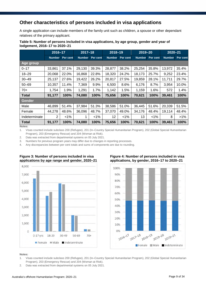### **Other characteristics of persons included in visa applications**

A single application can include members of the family unit such as children, a spouse or other dependant relatives of the primary applicant.

### **Table 5: Number of persons included in visa applications, by age group, gender and year of lodgement, 2016–17 to 2020–21**

|               | 2016-17       |          | $2017 - 18$   |          | 2018-19       |          | $2019 - 20$   |          | $2020 - 21$   |          |
|---------------|---------------|----------|---------------|----------|---------------|----------|---------------|----------|---------------|----------|
|               | <b>Number</b> | Per cent | <b>Number</b> | Per cent | <b>Number</b> | Per cent | <b>Number</b> | Per cent | <b>Number</b> | Per cent |
| Age group     |               |          |               |          |               |          |               |          |               |          |
| $0 - 17$      | 33,861        | 37.1%    | 29,130        | 39.3%    | 28,877        | 38.2%    | 25,254        | 35.8%    | 13,972        | 35.4%    |
| $18 - 29$     | 20,068        | 22.0%    | 16,868        | 22.8%    | 18,320        | 24.2%    | 18,173        | 25.7%    | 9,252         | 23.4%    |
| $30 - 49$     | 25,137        | 27.6%    | 19,422        | 26.2%    | 20,817        | 27.5%    | 19,859        | 28.1%    | 11,711        | 29.7%    |
| $50 - 69$     | 10,357        | 11.4%    | 7,369         | 9.9%     | 6,500         | 8.6%     | 6,176         | 8.7%     | 3,954         | 10.0%    |
| $70+$         | 1,754         | 1.9%     | 1,291         | 1.7%     | 1,142         | 1.5%     | 1,159         | 1.6%     | 572           | 1.4%     |
| <b>Total</b>  | 91,177        | 100%     | 74,080        | 100%     | 75,656        | 100%     | 70,621        | 100%     | 39,461        | 100%     |
| Gender        |               |          |               |          |               |          |               |          |               |          |
| Male          | 46,899        | 51.4%    | 37,984        | 51.3%    | 38,586        | 51.0%    | 36,445        | 51.6%    | 20,339        | 51.5%    |
| Female        | 44,278        | 48.6%    | 36,096        | 48.7%    | 37,070        | 49.0%    | 34,176        | 48.4%    | 19,114        | 48.4%    |
| Indeterminate | 2             | $< 1\%$  |               | $< 1\%$  | 12            | $< 1\%$  | 13            | $< 1\%$  | 8             | $>1\%$   |
| <b>Total</b>  | 91,177        | 100%     | 74,080        | 100%     | 75,656        | 100%     | 70,621        | 100%     | 39,461        | 100%     |

**Notes:**

1. Visas counted include subclass 200 (Refugee), 201 (In–Country Special Humanitarian Program), 202 (Global Special Humanitarian Program), 203 (Emergency Rescue) and 204 (Woman at Risk).

2. Data was extracted from departmental systems on 05 July 2021.

3. Numbers for previous program years may differ due to changes in reporting processes.

4. Any discrepancies between per cent totals and sums of components are due to rounding.



#### **Figure 3: Number of persons included in visa applications by age range and gender, 2020–21 Figure 4: Number of persons included in visa applications, by gender, 2016–17 to 2020–21**



- 1. Visas counted include subclass 200 (Refugee), 201 (In–Country Special Humanitarian Program), 202 (Global Special Humanitarian Program), 203 (Emergency Rescue) and 204 (Woman at Risk).
- 2. Data was extracted from departmental systems on 05 July 2021.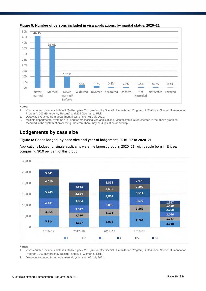

### **Figure 5: Number of persons included in visa applications, by marital status, 2020–21**

#### **Notes:**

1. Visas counted include subclass 200 (Refugee), 201 (In–Country Special Humanitarian Program), 202 (Global Special Humanitarian Program), 203 (Emergency Rescue) and 204 (Woman at Risk).

- 2. Data was extracted from departmental systems on 05 July 2021.
- 3. Multiple departmental systems are used for processing visa applications. Marital status is represented in the above graph as recorded in the system of processing, therefore there may be duplication or overlap.

### **Lodgements by case size**

### **Figure 6: Cases lodged, by case size and year of lodgement, 2016–17 to 2020–21**

Applications lodged for single applicants were the largest group in 2020–21, with people born in Eritrea comprising 30.0 per cent of this group.



- 1. Visas counted include subclass 200 (Refugee), 201 (In–Country Special Humanitarian Program), 202 (Global Special Humanitarian Program), 203 (Emergency Rescue) and 204 (Woman at Risk).
- 2. Data was extracted from departmental systems on 05 July 2021.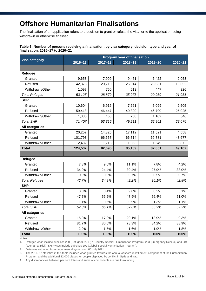# **Offshore Humanitarian Finalisations**

The finalisation of an application refers to a decision to grant or refuse the visa, or to the application being withdrawn or otherwise finalised.

### **Table 6: Number of persons receiving a finalisation, by visa category, decision type and year of finalisation, 2016–17 to 2020–21**

|                      | <b>Program year of finalisation</b> |             |             |         |             |  |  |  |
|----------------------|-------------------------------------|-------------|-------------|---------|-------------|--|--|--|
| <b>Visa category</b> | $2016 - 17$                         | $2017 - 18$ | $2018 - 19$ | 2019-20 | $2020 - 21$ |  |  |  |
|                      |                                     |             |             |         |             |  |  |  |
| Refugee              |                                     |             |             |         |             |  |  |  |
| Granted              | 9,653                               | 7,909       | 9,451       | 6,422   | 2,053       |  |  |  |
| Refused              | 42,375                              | 20,210      | 25,914      | 23,081  | 18,652      |  |  |  |
| Withdrawn/Other      | 1,097                               | 760         | 613         | 447     | 326         |  |  |  |
| <b>Total Refugee</b> | 53,125                              | 28,879      | 35,978      | 29,950  | 21,031      |  |  |  |
| <b>SHP</b>           |                                     |             |             |         |             |  |  |  |
| Granted              | 10,604                              | 6,916       | 7,661       | 5,099   | 2,505       |  |  |  |
| Refused              | 59,418                              | 46,447      | 40,800      | 46,700  | 25,025      |  |  |  |
| Withdrawn/Other      | 1,385                               | 453         | 750         | 1,102   | 546         |  |  |  |
| <b>Total SHP</b>     | 71,407                              | 53,816      | 49,211      | 52,901  | 28,076      |  |  |  |
| All categories       |                                     |             |             |         |             |  |  |  |
| Granted              | 20,257                              | 14,825      | 17,112      | 11,521  | 4,558       |  |  |  |
| Refused              | 101,793                             | 66,657      | 66,714      | 69,781  | 43,677      |  |  |  |
| Withdrawn/Other      | 2,482                               | 1,213       | 1,363       | 1,549   | 872         |  |  |  |
| <b>Total</b>         | 124,532                             | 82,695      | 85,189      | 82,851  | 49,107      |  |  |  |
|                      |                                     |             |             |         |             |  |  |  |
| <b>Refugee</b>       |                                     |             |             |         |             |  |  |  |
| Granted              | 7.8%                                | 9.6%        | 11.1%       | 7.8%    | 4.2%        |  |  |  |
| Refused              | 34.0%                               | 24.4%       | 30.4%       | 27.9%   | 38.0%       |  |  |  |
| Withdrawn/Other      | 0.9%                                | 0.9%        | 0.7%        | 0.5%    | 0.7%        |  |  |  |
| <b>Total Refugee</b> | 42.7%                               | 34.9%       | 42.2%       | 36.1%   | 42.8%       |  |  |  |
| <b>SHP</b>           |                                     |             |             |         |             |  |  |  |
| Granted              | 8.5%                                | 8.4%        | 9.0%        | 6.2%    | 5.1%        |  |  |  |
| Refused              | 47.7%                               | 56.2%       | 47.9%       | 56.4%   | 51.0%       |  |  |  |
| Withdrawn/Other      | 1.1%                                | 0.5%        | 0.9%        | 1.3%    | 1.1%        |  |  |  |
| <b>Total SHP</b>     | 57.3%                               | 65.1%       | 57.8%       | 63.9%   | 57.2%       |  |  |  |
| All categories       |                                     |             |             |         |             |  |  |  |
| Granted              | 16.3%                               | 17.9%       | 20.1%       | 13.9%   | 9.3%        |  |  |  |
| Refused              | 81.7%                               | 80.6%       | 78.3%       | 84.2%   | 88.9%       |  |  |  |
| Withdrawn/Other      | 2.0%                                | 1.5%        | 1.6%        | 1.9%    | 1.8%        |  |  |  |
| <b>Total</b>         | 100%                                | 100%        | 100%        | 100%    | 100%        |  |  |  |

**Notes:**

1. Refugee visas include subclass 200 (Refugee), 201 (In–Country Special Humanitarian Program), 203 (Emergency Rescue) and 204 (Woman at Risk). SHP visas include subclass 202 (Global Special Humanitarian Program).

2. Data was extracted from departmental systems on 05 July 2021.

3. The 2016–17 statistics in this table includes visas granted towards the annual offshore resettlement component of the Humanitarian Program, and the additional 12,000 places for people displaced by conflict in Syria and Iraq.

4. Any discrepancies between per cent totals and sums of components are due to rounding.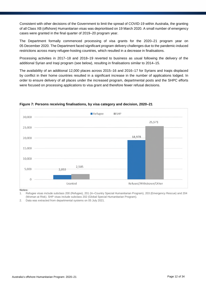Consistent with other decisions of the Government to limit the spread of COVID-19 within Australia, the granting of all Class XB (offshore) Humanitarian visas was deprioritised on 19 March 2020. A small number of emergency cases were granted in the final quarter of 2019–20 program year.

The Department formally commenced processing of visa grants for the 2020–21 program year on 05 December 2020. The Department faced significant program delivery challenges due to the pandemic-induced restrictions across many refugee-hosting countries, which resulted in a decrease in finalisations.

Processing activities in 2017–18 and 2018–19 reverted to business as usual following the delivery of the additional Syrian and Iraqi program (see below), resulting in finalisations similar to 2014–15.

The availability of an additional 12,000 places across 2015–16 and 2016–17 for Syrians and Iraqis displaced by conflict in their home countries resulted in a significant increase in the number of applications lodged. In order to ensure delivery of all places under the increased program, departmental posts and the SHPC efforts were focused on processing applications to visa grant and therefore fewer refusal decisions.



### **Figure 7: Persons receiving finalisations, by visa category and decision, 2020–21**

**Notes:**

1. Refugee visas include subclass 200 (Refugee), 201 (In–Country Special Humanitarian Program), 203 (Emergency Rescue) and 204 (Woman at Risk). SHP visas include subclass 202 (Global Special Humanitarian Program).

2. Data was extracted from departmental systems on 05 July 2021.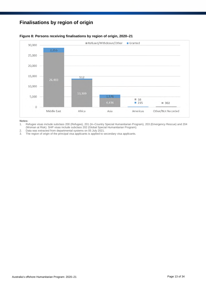### **Finalisations by region of origin**



### **Figure 8: Persons receiving finalisations by region of origin, 2020–21**

- 1. Refugee visas include subclass 200 (Refugee), 201 (In–Country Special Humanitarian Program), 203 (Emergency Rescue) and 204 (Woman at Risk). SHP visas include subclass 202 (Global Special Humanitarian Program).
- 2. Data was extracted from departmental systems on 05 July 2021.<br>3. The region of origin of the principal visa applicants is applied to s
- The region of origin of the principal visa applicants is applied to secondary visa applicants.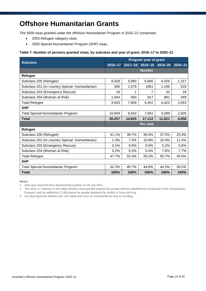# **Offshore Humanitarian Grants**

The 4558 visas granted under the offshore Humanitarian Program in 2020–21 comprised:

- 2053 Refugee category visas
- 2505 Special Humanitarian Program (SHP) visas.

### **Table 7: Number of persons granted visas, by subclass and year of grant, 2016–17 to 2020–21**

| <b>Subclass</b>                                | Program year of grant |             |               |             |             |  |
|------------------------------------------------|-----------------------|-------------|---------------|-------------|-------------|--|
|                                                | 2016-17               | $2017 - 18$ | 2018-19       | $2019 - 20$ | $2020 - 21$ |  |
|                                                |                       |             | <b>Number</b> |             |             |  |
| Refugee                                        |                       |             |               |             |             |  |
| Subclass 200 (Refugee)                         | 8,328                 | 5,890       | 6,666         | 4,326       | 1,157       |  |
| Subclass 201 (In-country Special Humanitarian) | 265                   | 1,078       | 1861          | 1,195       | 518         |  |
| Subclass 203 (Emergency Rescue)                | 16                    |             | 7             | 20          | 29          |  |
| Subclass 204 (Woman at Risk)                   | 1,044                 | 940         | 917           | 881         | 349         |  |
| <b>Total Refugee</b>                           | 9,653                 | 7,909       | 9.451         | 6,422       | 2.053       |  |
| <b>SHP</b>                                     |                       |             |               |             |             |  |
| <b>Total Special Humanitarian Program</b>      | 10,604                | 6,916       | 7,661         | 5,099       | 2,505       |  |
| <b>Total</b>                                   | 20,257                | 14,825      | 17,112        | 11,521      | 4,558       |  |
|                                                |                       |             | Per cent      |             |             |  |
| Refugee                                        |                       |             |               |             |             |  |
| Subclass 200 (Refugee)                         | 41.1%                 | 39.7%       | 39.0%         | 37.5%       | 25.4%       |  |
| Subclass 201 (In-country Special Humanitarian) | 1.3%                  | 7.3%        | 10.9%         | 10.4%       | 11.4%       |  |
| Subclass 203 (Emergency Rescue)                | 0.1%                  | 0.0%        | 0.0%          | 0.2%        | 0.6%        |  |
| Subclass 204 (Woman at Risk)                   | 5.2%                  | 6.3%        | 5.4%          | 7.6%        | 7.7%        |  |
| <b>Total Refugee</b>                           | 47.7%                 | 53.3%       | 55.2%         | 55.7%       | 45.0%       |  |
| <b>SHP</b>                                     |                       |             |               |             |             |  |
| <b>Total Special Humanitarian Program</b>      | 52.3%                 | 46.7%       | 44.8%         | 44.3%       | 55.0%       |  |
| <b>Total</b>                                   | 100%                  | 100%        | 100%          | 100%        | 100%        |  |

**Notes:**

1. Data was extracted from departmental systems on 05 July 2021.

2. The 2016–17 statistics in this table includes visas granted towards the annual offshore resettlement component of the Humanitarian Program, and the additional 12,000 places for people displaced by conflict in Syria and Iraq.

3. Any discrepancies between per cent totals and sums of components are due to rounding.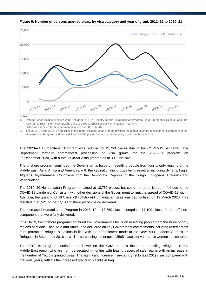

**Figure 9: Number of persons granted visas, by visa category and year of grant, 2011–12 to 2020–21**

**Notes:**

1. Refugee visas include subclass 200 (Refugee), 201 (In–Country Special Humanitarian Program), 203 (Emergency Rescue) and 204 (Woman at Risk). SHP visas include subclass 202 (Global Special Humanitarian Program).

2. Data was extracted from departmental systems on 05 July 2021.

3. The 2015–16 and 2016–17 statistics in this graph includes visas granted towards the annual offshore resettlement component of the Humanitarian Program, and the additional 12,000 places for people displaced by conflict in Syria and Iraq.

The 2020–21 Humanitarian Program was reduced to 13,750 places due to the COVID-19 pandemic. The Department formally commenced processing of visa grants for the 2020–21 program on 05 December 2020, with a total of 4558 visas granted as at 30 June 2021.

The offshore program continued the Government's focus on resettling people from four priority regions of the Middle East, Asia, Africa and Americas, with the key nationality groups being resettled including Syrians, Iraqis, Afghans, Myanmarese, Congolese from the Democratic Republic of the Congo, Ethiopians, Eritreans and Venezuelans.

The 2019–20 Humanitarian Program remained at 18,750 places, but could not be delivered in full due to the COVID-19 pandemic. Consistent with other decisions of the Government to limit the spread of COVID-19 within Australia, the granting of all Class XB (offshore) Humanitarian visas was deprioritised on 19 March 2020. This resulted in 11,521 of the 17,100 offshore places being delivered.

The increased Humanitarian Program in 2018–19 of 18,750 places comprised 17,100 places for the offshore component that were fully delivered.

In 2018-19, the offshore program continued the Government's focus on resettling people from the three priority regions of Middle East, Asia and Africa, and delivered on key Government commitments including resettlement from protracted refugee situations in line with the commitment made at the New York Leaders' Summit on Refugees in September 2016 as well as surpassing the target of 2565 places for vulnerable women and children.

The 2018–19 program continued to deliver on the Government's focus on resettling refugees in the Middle East region who are from persecuted minorities with least prospect of safe return, with an increase in the number of Yazidis granted visas. The significant increase in in-country (subclass 201) visas compared with previous years, reflects the increased grants to Yazidis in Iraq.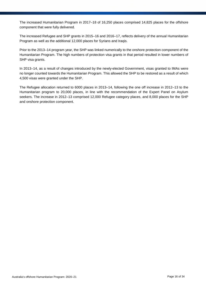The increased Humanitarian Program in 2017–18 of 16,250 places comprised 14,825 places for the offshore component that were fully delivered.

The increased Refugee and SHP grants in 2015–16 and 2016–17, reflects delivery of the annual Humanitarian Program as well as the additional 12,000 places for Syrians and Iraqis.

Prior to the 2013–14 program year, the SHP was linked numerically to the onshore protection component of the Humanitarian Program. The high numbers of protection visa grants in that period resulted in lower numbers of SHP visa grants.

In 2013–14, as a result of changes introduced by the newly-elected Government, visas granted to IMAs were no longer counted towards the Humanitarian Program. This allowed the SHP to be restored as a result of which 4,500 visas were granted under the SHP.

The Refugee allocation returned to 6000 places in 2013–14, following the one off increase in 2012–13 to the Humanitarian program to 20,000 places, in line with the recommendation of the Expert Panel on Asylum seekers. The increase in 2012–13 comprised 12,000 Refugee category places, and 8,000 places for the SHP and onshore protection component.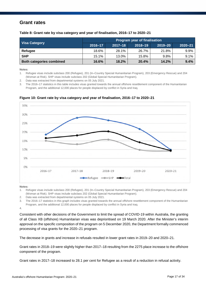### **Grant rates**

**Table 8: Grant rate by visa category and year of finalisation, 2016–17 to 2020–21**

| <b>Visa Category</b>            | <b>Program year of finalisation</b> |             |             |             |             |  |  |
|---------------------------------|-------------------------------------|-------------|-------------|-------------|-------------|--|--|
|                                 | 2016-17                             | $2017 - 18$ | $2018 - 19$ | $2019 - 20$ | $2020 - 21$ |  |  |
| Refugee                         | 18.6%                               | 28.1%       | 26.7%       | 21.8%       | 9.9%        |  |  |
| <b>SHP</b>                      | 15.1%                               | 13.0%       | 15.8%       | 9.8%        | 9.1%        |  |  |
| <b>Both categories combined</b> | 16.6%                               | 18.2%       | 20.4%       | 14.2%       | 9.4%        |  |  |

**Notes:**

1. Refugee visas include subclass 200 (Refugee), 201 (In–Country Special Humanitarian Program), 203 (Emergency Rescue) and 204 (Woman at Risk). SHP visas include subclass 202 (Global Special Humanitarian Program).

2. Data was extracted from departmental systems on 05 July 2021.

3. The 2016–17 statistics in this table includes visas granted towards the annual offshore resettlement component of the Humanitarian Program, and the additional 12,000 places for people displaced by conflict in Syria and Iraq.



### **Figure 10: Grant rate by visa category and year of finalisation, 2016–17 to 2020–21**

**Notes:**

1. Refugee visas include subclass 200 (Refugee), 201 (In–Country Special Humanitarian Program), 203 (Emergency Rescue) and 204 (Woman at Risk). SHP visas include subclass 202 (Global Special Humanitarian Program).

2. Data was extracted from departmental systems on 05 July 2021.

3. The 2016–17 statistics in this graph includes visas granted towards the annual offshore resettlement component of the Humanitarian Program, and the additional 12,000 places for people displaced by conflict in Syria and Iraq.

4.

Consistent with other decisions of the Government to limit the spread of COVID-19 within Australia, the granting of all Class XB (offshore) Humanitarian visas was deprioritised on 19 March 2020. After the Minister's interim approval on the specific composition of the program on 5 December 2020, the Department formally commenced processing of visa grants for the 2020–21 program.

The decrease in grants and increase in refusals resulted in lower grant rates in 2019–20 and 2020–21.

Grant rates in 2018–19 were slightly higher than 2017–18 resulting from the 2275 place increase to the offshore component of the program.

Grant rates in 2017–18 increased to 28.1 per cent for Refugee as a result of a reduction in refusal activity.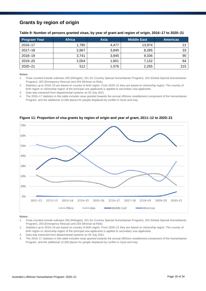### **Grants by region of origin**

| Table 9: Number of persons granted visas, by year of grant and region of origin, 2016–17 to 2020–21 |  |  |  |  |  |
|-----------------------------------------------------------------------------------------------------|--|--|--|--|--|
|-----------------------------------------------------------------------------------------------------|--|--|--|--|--|

| <b>Program Year</b> | <b>Africa</b> | <b>Asia</b> | <b>Middle East</b> | <b>Americas</b> |
|---------------------|---------------|-------------|--------------------|-----------------|
| 2016-17             | 1,785         | 4,477       | 13,974             | 21              |
| $2017 - 18$         | 2,667         | 3,840       | 8,285              | 33              |
| 2018-19             | 3,741         | 3,945       | 9,336              | 90              |
| 2019-20             | 2,054         | 1,801       | 7,132              | 84              |
| $2020 - 21$         | 512           | 1,576       | 2,255              | 215             |

#### **Notes:**

1. Visas counted include subclass 200 (Refugee), 201 (In–Country Special Humanitarian Program), 202 (Global Special Humanitarian Program), 203 (Emergency Rescue) and 204 (Woman at Risk).

2. Statistics up to 2018–19 are based on country of birth region. From 2020–21 they are based on citizenship region. The country of birth region or citizenship region of the principal visa applicants is applied to secondary visa applicants.

3. Data was extracted from departmental systems on 05 July 2021.

4. The 2016–17 statistics in this table includes visas granted towards the annual offshore resettlement component of the Humanitarian Program, and the additional 12,000 places for people displaced by conflict in Syria and Iraq.



**Figure 11: Proportion of visa grants by region of origin and year of grant, 2011–12 to 2020–21**

- 1. Visas counted include subclass 200 (Refugee), 201 (In–Country Special Humanitarian Program), 202 (Global Special Humanitarian Program), 203 (Emergency Rescue) and 204 (Woman at Risk).
- 2. Statistics up to 2018–19 are based on country of birth region. From 2020–21 they are based on citizenship region. The country of birth region or citizenship region of the principal visa applicants is applied to secondary visa applicants.
- 3. Data was extracted from departmental systems on 05 July 2021.
- 4. The 2016–17 statistics in this table includes visas granted towards the annual offshore resettlement component of the Humanitarian Program, and the additional 12,000 places for people displaced by conflict in Syria and Iraq.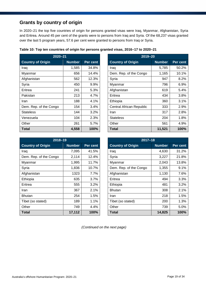### **Grants by country of origin**

In 2020–21 the top five countries of origin for persons granted visas were Iraq, Myanmar, Afghanistan, Syria and Eritrea. Around 45 per cent of the grants were to persons from Iraq and Syria. Of the 68,237 visas granted over the last 5 program years, 57.6 per cent were granted to persons from Iraq or Syria.

| $2020 - 21$              |               |          | $2019 - 20$              |               |          |  |  |
|--------------------------|---------------|----------|--------------------------|---------------|----------|--|--|
| <b>Country of Origin</b> | <b>Number</b> | Per cent | <b>Country of Origin</b> | <b>Number</b> | Per cent |  |  |
| Iraq                     | 1,585         | 34.8%    | Iraq                     | 5,785         | 50.2%    |  |  |
| Myanmar                  | 656           | 14.4%    | Dem. Rep. of the Congo   | 1,165         | 10.1%    |  |  |
| Afghanistan              | 562           | 12.3%    | Syria                    | 947           | 8.2%     |  |  |
| Syria                    | 450           | 9.9%     | Myanmar                  | 796           | 6.9%     |  |  |
| Eritrea                  | 241           | 5.3%     | Afghanistan              | 619           | 5.4%     |  |  |
| Pakistan                 | 213           | 4.7%     | Eritrea                  | 434           | 3.8%     |  |  |
| Iran                     | 188           | 4.1%     | Ethiopia                 | 360           | 3.1%     |  |  |
| Dem. Rep. of the Congo   | 154           | 3.4%     | Central African Republic | 333           | 2.9%     |  |  |
| <b>Stateless</b>         | 144           | $3.2\%$  | Iran                     | 317           | 2.8%     |  |  |
| Venezuela                | 104           | 2.3%     | <b>Stateless</b>         | 204           | 1.8%     |  |  |
| Other                    | 261           | 5.7%     | Other                    | 561           | 4.9%     |  |  |
| <b>Total</b>             | 4,558         | 100%     | Total                    | 11,521        | 100%     |  |  |

|  |  |  | Table 10: Top ten countries of origin for persons granted visas, 2016–17 to 2020–21 |  |
|--|--|--|-------------------------------------------------------------------------------------|--|
|--|--|--|-------------------------------------------------------------------------------------|--|

| $2019 - 20$              |               |          |  |  |  |  |  |  |
|--------------------------|---------------|----------|--|--|--|--|--|--|
| <b>Country of Origin</b> | <b>Number</b> | Per cent |  |  |  |  |  |  |
| Iraq                     | 5,785         | 50.2%    |  |  |  |  |  |  |
| Dem. Rep. of the Congo   | 1,165         | 10.1%    |  |  |  |  |  |  |
| Syria                    | 947           | $8.2\%$  |  |  |  |  |  |  |
| Myanmar                  | 796           | $6.9\%$  |  |  |  |  |  |  |
| Afghanistan              | 619           | 5.4%     |  |  |  |  |  |  |
| Eritrea                  | 434           | 3.8%     |  |  |  |  |  |  |
| Ethiopia                 | 360           | 3.1%     |  |  |  |  |  |  |
| Central African Republic | 333           | 2.9%     |  |  |  |  |  |  |
| Iran                     | 317           | 2.8%     |  |  |  |  |  |  |
| <b>Stateless</b>         | 204           | 1.8%     |  |  |  |  |  |  |
| Other                    | 561           | 4.9%     |  |  |  |  |  |  |
| Total                    | 11,521        | 100%     |  |  |  |  |  |  |

| $2018 - 19$              |               |          | $2017 - 18$              |               |                 |
|--------------------------|---------------|----------|--------------------------|---------------|-----------------|
| <b>Country of Origin</b> | <b>Number</b> | Per cent | <b>Country of Origin</b> | <b>Number</b> | <b>Per cent</b> |
| Iraq                     | 7,095         | 41.5%    | Iraq                     | 4,630         | 31.2%           |
| Dem. Rep. of the Congo   | 2,114         | 12.4%    | Syria                    | 3,227         | 21.8%           |
| Myanmar                  | 1,995         | 11.7%    | Myanmar                  | 2,043         | 13.8%           |
| Syria                    | 1,836         | 10.7%    | Dem. Rep. of the Congo   | 1,355         | 9.1%            |
| Afghanistan              | 1323          | 7.7%     | Afghanistan              | 1,130         | 7.6%            |
| Ethiopia                 | 635           | 3.7%     | Eritrea                  | 494           | 3.3%            |
| Eritrea                  | 555           | 3.2%     | Ethiopia                 | 481           | 3.2%            |
| Iran                     | 367           | 2.1%     | <b>Bhutan</b>            | 308           | 2.1%            |
| <b>Bhutan</b>            | 254           | 1.5%     | <b>Iran</b>              | 218           | 1.5%            |
| Tibet (so stated)        | 189           | 1.1%     | Tibet (so stated)        | 200           | 1.3%            |
| Other                    | 749           | 4.4%     | Other                    | 739           | 5.0%            |
| Total                    | 17,112        | 100%     | <b>Total</b>             | 14,825        | 100%            |

| $2017 - 18$              |               |          |  |  |  |  |  |
|--------------------------|---------------|----------|--|--|--|--|--|
| <b>Country of Origin</b> | <b>Number</b> | Per cent |  |  |  |  |  |
| Iraq                     | 4,630         | 31.2%    |  |  |  |  |  |
| Syria                    | 3,227         | 21.8%    |  |  |  |  |  |
| Myanmar                  | 2,043         | 13.8%    |  |  |  |  |  |
| Dem. Rep. of the Congo   | 1,355         | $9.1\%$  |  |  |  |  |  |
| Afghanistan              | 1,130         | 7.6%     |  |  |  |  |  |
| Eritrea                  | 494           | 3.3%     |  |  |  |  |  |
| Ethiopia                 | 481           | 3.2%     |  |  |  |  |  |
| <b>Bhutan</b>            | 308           | 2.1%     |  |  |  |  |  |
| Iran                     | 218           | 1.5%     |  |  |  |  |  |
| Tibet (so stated)        | 200           | 1.3%     |  |  |  |  |  |
| Other                    | 739           | 5.0%     |  |  |  |  |  |
| Total                    | 14,825        | 100%     |  |  |  |  |  |

*(Continued on the next page)*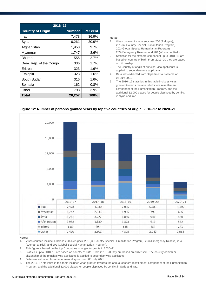| 2016-17                  |               |          |  |  |  |  |  |
|--------------------------|---------------|----------|--|--|--|--|--|
| <b>Country of Origin</b> | <b>Number</b> | Per cent |  |  |  |  |  |
| Iraq                     | 7,478         | 36.9%    |  |  |  |  |  |
| Syria                    | 6,261         | 30.9%    |  |  |  |  |  |
| Afghanistan              | 1,958         | 9.7%     |  |  |  |  |  |
| Myanmar                  | 1,747         | 8.6%     |  |  |  |  |  |
| Bhutan                   | 555           | 2.7%     |  |  |  |  |  |
| Dem. Rep. of the Congo   | 336           | 1.7%     |  |  |  |  |  |
| Eritrea                  | 323           | 1.6%     |  |  |  |  |  |
| Ethiopia                 | 323           | 1.6%     |  |  |  |  |  |
| South Sudan              | 316           | 1.6%     |  |  |  |  |  |
| Somalia                  | 162           | $0.8\%$  |  |  |  |  |  |
| Other                    | 798           | 3.9%     |  |  |  |  |  |
| <b>Total</b>             | 20,257        | 100%     |  |  |  |  |  |

#### **Notes:**

- 1. Visas counted include subclass 200 (Refugee), 201 (In–Country Special Humanitarian Program), 202 (Global Special Humanitarian Program), 203 (Emergency Rescue) and 204 (Woman at Risk).
- 2. Statistics for the offshore component up to 2018–19 are based on country of birth. From 2019–20 they are based on citizenship.
- 3. The Country of origin of principal visa applicants is applied to secondary visa applicants.
- 4. Data was extracted from Departmental systems on 05 July 2021.
- 5. The 2016–17 statistics in this table includes visas granted towards the annual offshore resettlement component of the Humanitarian Program, and the additional 12,000 places for people displaced by conflict in Syria and Iraq.



### **Figure 12: Number of persons granted visas by top five countries of origin, 2016–17 to 2020–21**

- 1. Visas counted include subclass 200 (Refugee), 201 (In–Country Special Humanitarian Program), 203 (Emergency Rescue) 204 (Woman at Risk) and 202 (Global Special Humanitarian Program).
- 2. This figure is based on the top 5 countries of origin for grants in 2020–21.<br>3. Statistics up to 2018–19 are based on country of birth. From 2019–20 the
- 3. Statistics up to 2018–19 are based on country of birth. From 2019–20 they are based on citizenship. The country of birth or citizenship of the principal visa applicants is applied to secondary visa applicants.
- 4. Data was extracted from departmental systems on 05 July 2021.
- 5. The 2016–17 statistics in this table includes visas granted towards the annual offshore resettlement component of the Humanitarian Program, and the additional 12,000 places for people displaced by conflict in Syria and Iraq.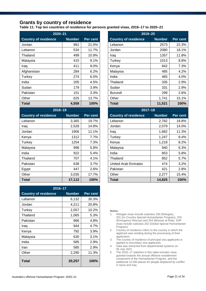### **Grants by country of residence**

**Table 11: Top ten countries of residence for persons granted visas, 2016–17 to 2020–21**

| $2020 - 21$                 |               |          | 2019-20                     |               |          |
|-----------------------------|---------------|----------|-----------------------------|---------------|----------|
| <b>Country of residence</b> | <b>Number</b> | Per cent | <b>Country of residence</b> | <b>Number</b> | Per cent |
| Jordan                      | 981           | 21.5%    | Lebanon                     | 2573          | 22.3%    |
| Lebanon                     | 534           | 11.7%    | Jordan                      | 2080          | 18.1%    |
| Thailand                    | 499           | 10.9%    | Iraq                        | 1357          | 11.8%    |
| Malaysia                    | 415           | 9.1%     | Turkey                      | 1013          | 8.8%     |
| Iraq                        | 411           | 9.0%     | Kenya                       | 842           | 7.3%     |
| Afghanistan                 | 284           | 6.2%     | Malaysia                    | 485           | 4.2%     |
| Turkey                      | 274           | 6.0%     | India                       | 465           | 4.0%     |
| India                       | 205           | 4.5%     | Thailand                    | 335           | 2.9%     |
| Sudan                       | 179           | 3.9%     | Sudan                       | 331           | 2.9%     |
| Pakistan                    | 151           | 3.3%     | <b>Burundi</b>              | 299           | 2.6%     |
| Other                       | 625           | 13.7%    | Other                       | 1,741         | 15.1%    |
| Total                       | 4,558         | 100%     | <b>Total</b>                | 11,521        | 100%     |

| $2018 - 19$                 |               |          |                             | $2017 - 18$   |          |
|-----------------------------|---------------|----------|-----------------------------|---------------|----------|
| <b>Country of residence</b> | <b>Number</b> | Per cent | <b>Country of residence</b> | <b>Number</b> | Per cent |
| Lebanon                     | 3,365         | 19.7%    | Lebanon                     | 2,782         | 18.8%    |
| Iraq                        | 2,528         | 14.8%    | Jordan                      | 2,079         | 14.0%    |
| Jordan                      | 1906          | 11.1%    | Iraq                        | 1,682         | 11.3%    |
| Kenya                       | 1312          | 7.7%     | Turkey                      | 1,247         | 8.4%     |
| Turkey                      | 1254          | 7.3%     | Kenya                       | 1,218         | 8.2%     |
| Malaysia                    | 998           | 5.8%     | Malaysia                    | 940           | 6.3%     |
| India                       | 922           | 5.4%     | India                       | 853           | 5.8%     |
| Thailand                    | 707           | 4.1%     | Thailand                    | 852           | 5.7%     |
| Pakistan                    | 638           | 3.7%     | <b>United Arab Emirates</b> | 474           | 3.2%     |
| Egypt                       | 447           | 2.6%     | Pakistan                    | 421           | 2.8%     |
| Other                       | 3,035         | 17.7%    | Other                       | 2,277         | 15.4%    |
| <b>Total</b>                | 17,112        | 100%     | <b>Total</b>                | 14,825        | 100%     |

| $2016 - 17$                 |        |                 |  |  |  |  |  |
|-----------------------------|--------|-----------------|--|--|--|--|--|
| <b>Country of residence</b> | Number | <b>Per cent</b> |  |  |  |  |  |
| Lebanon                     | 6,132  | 30.3%           |  |  |  |  |  |
| Jordan                      | 4,211  | 20.8%           |  |  |  |  |  |
| Turkey                      | 2,057  | 10.2%           |  |  |  |  |  |
| Thailand                    | 1,065  | 5.3%            |  |  |  |  |  |
| Pakistan                    | 966    | 4.8%            |  |  |  |  |  |
| Iraq                        | 944    | 4.7%            |  |  |  |  |  |
| Kenya                       | 792    | 3.9%            |  |  |  |  |  |
| Malaysia                    | 630    | 3.1%            |  |  |  |  |  |
| India                       | 585    | 2.9%            |  |  |  |  |  |
| Iran                        | 585    | 2.9%            |  |  |  |  |  |
| Other                       | 2,290  | 11.3%           |  |  |  |  |  |
| <b>Total</b>                | 20,257 | 100%            |  |  |  |  |  |

| $2019 - 20$                 |               |          |  |  |  |  |
|-----------------------------|---------------|----------|--|--|--|--|
| <b>Country of residence</b> | <b>Number</b> | Per cent |  |  |  |  |
| Lebanon                     | 2573          | 22.3%    |  |  |  |  |
| Jordan                      | 2080          | 18.1%    |  |  |  |  |
| Iraq                        | 1357          | 11.8%    |  |  |  |  |
| Turkey                      | 1013          | 8.8%     |  |  |  |  |
| Kenya                       | 842           | 7.3%     |  |  |  |  |
| Malaysia                    | 485           | 4.2%     |  |  |  |  |
| India                       | 465           | 4.0%     |  |  |  |  |
| Thailand                    | 335           | 2.9%     |  |  |  |  |
| Sudan                       | 331           | 2.9%     |  |  |  |  |
| Burundi                     | 299           | 2.6%     |  |  |  |  |
| Other                       | 1,741         | 15.1%    |  |  |  |  |
| Total                       | 11,521        | 100%     |  |  |  |  |

| $2017 - 18$                 |               |          |  |  |  |  |  |
|-----------------------------|---------------|----------|--|--|--|--|--|
| <b>Country of residence</b> | <b>Number</b> | Per cent |  |  |  |  |  |
| Lebanon                     | 2,782         | 18.8%    |  |  |  |  |  |
| Jordan                      | 2,079         | 14.0%    |  |  |  |  |  |
| Iraq                        | 1,682         | 11.3%    |  |  |  |  |  |
| Turkey                      | 1,247         | 8.4%     |  |  |  |  |  |
| Kenya                       | 1,218         | 8.2%     |  |  |  |  |  |
| Malaysia                    | 940           | 6.3%     |  |  |  |  |  |
| India                       | 853           | 5.8%     |  |  |  |  |  |
| Thailand                    | 852           | 5.7%     |  |  |  |  |  |
| <b>United Arab Emirates</b> | 474           | $3.2\%$  |  |  |  |  |  |
| Pakistan                    | 421           | 2.8%     |  |  |  |  |  |
| Other                       | 2,277         | 15.4%    |  |  |  |  |  |
| Total                       | 14,825        | 100%     |  |  |  |  |  |

- 1. Refugee visas include subclass 200 (Refugee), 201 (In–Country Special Humanitarian Program), 203 (Emergency Rescue) and 204 (Woman at Risk). SHP visas include subclass 202 (Global Special Humanitarian Program).
- 2. Country of residence refers to the country in which the applicant was residing during the processing of their application.
- 3. The country of residence of principal visa applicants is applied to secondary visa applicants.
- 4. Data was extracted from departmental systems on 05 July 2021.
- 5. The 2016–17 statistics in this table includes visas granted towards the annual offshore resettlement component of the Humanitarian Program, and the additional 12,000 places for people displaced by conflict in Syria and Iraq.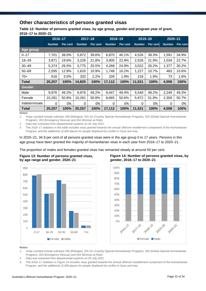### **Other characteristics of persons granted visas**

**Table 12: Number of persons granted visas, by age group, gender and program year of grant, 2016–17 to 2020–21**

|               | $2016 - 17$   |          | $2017 - 18$   |          | 2018-19       |          | $2019 - 20$   |          | $2020 - 21$   |          |
|---------------|---------------|----------|---------------|----------|---------------|----------|---------------|----------|---------------|----------|
|               | <b>Number</b> | Per cent | <b>Number</b> | Per cent | <b>Number</b> | Per cent | <b>Number</b> | Per cent | <b>Number</b> | Per cent |
| Age group     |               |          |               |          |               |          |               |          |               |          |
| $0 - 17$      | 7,701         | 38.0%    | 5,872         | 39.6%    | 6,870         | 40.1%    | 4,526         | 39.3%    | 1,591         | 34.9%    |
| $18 - 29$     | 3,971         | 19.6%    | 3,226         | 21.8%    | 3,900         | 22.8%    | 2,528         | 21.9%    | 1,034         | 22.7%    |
| $30 - 49$     | 5,374         | 26.5%    | 3,775         | 25.5%    | 4,268         | 24.9%    | 3,022         | 26.2%    | 1,377         | 30.2%    |
| $50 - 69$     | 2,595         | 12.8%    | 1,620         | 10.9%    | 1,748         | 10.2%    | 1,227         | 10.7%    | 483           | 10.6%    |
| $70+$         | 616           | 3.0%     | 332           | 2.2%     | 326           | 1.9%     | 218           | 1.9%     | 73            | 1.6%     |
| <b>Total</b>  | 20,257        | 100%     | 14,825        | 100%     | 17,112        | 100%     | 11,521        | 100%     | 4,558         | 100%     |
| Gender        |               |          |               |          |               |          |               |          |               |          |
| Male          | 9,976         | 49.2%    | 9.976         | 49.2%    | 8,447         | 49.4%    | 5,549         | 48.2%    | 2,249         | 49.3%    |
| Female        | 10,281        | 50.8%    | 10,281        | 50.8%    | 8,665         | 50.6%    | 5,972         | 51.8%    | 2,309         | 50.7%    |
| Indeterminate | 0             | 0%       | $\Omega$      | 0%       | 0             | 0%       | 0             | 0%       | 0             | 0%       |
| <b>Total</b>  | 20,257        | 100%     | 20,257        | 100%     | 17,112        | 100%     | 11,521        | 100%     | 4,558         | 100%     |

**Notes:** 

1. Visas counted include subclass 200 (Refugee), 201 (In–Country Special Humanitarian Program), 202 (Global Special Humanitarian Program), 203 (Emergency Rescue) and 204 (Woman at Risk).

2. Data was extracted from departmental systems on 05 July 2021.

3. The 2016–17 statistics in this table includes visas granted towards the annual offshore resettlement component of the Humanitarian Program, and the additional 12,000 places for people displaced by conflict in Syria and Iraq.

In 2020–21, 34.9 per cent of all persons granted visas were in the age group 0 to 17 years. Persons in this age group have been granted the majority of Humanitarian visas in each year from 2016–17 to 2020–21.

The proportion of males and females granted visas has remained steady at around 50 per cent.





**Figure 14: Number of persons granted visas, by gender, 2016–17 to 2020–21**



- 1. Visas counted include subclass 200 (Refugee), 201 (In–Country Special Humanitarian Program), 202 (Global Special Humanitarian Program), 203 (Emergency Rescue) and 204 (Woman at Risk).
- 2. Data was extracted from departmental systems on 05 July 2021.
- 3. The 2016–17 statistics in Figure 14 includes visas granted towards the annual offshore resettlement component of the Humanitarian Program, and the additional 12,000 places for people displaced by conflict in Syria and Iraq.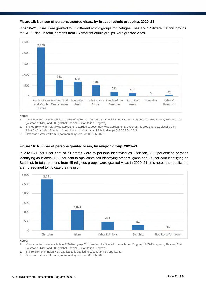### **Figure 15: Number of persons granted visas, by broader ethnic grouping, 2020–21**

In 2020–21, visas were granted to 63 different ethnic groups for Refugee visas and 37 different ethnic groups for SHP visas. In total, persons from 76 different ethnic groups were granted visas.



**Notes:** 

- 1. Visas counted include subclass 200 (Refugee), 201 (In–Country Special Humanitarian Program), 203 (Emergency Rescue) 204 (Woman at Risk) and 202 (Global Special Humanitarian Program).
- 2. The ethnicity of principal visa applicants is applied to secondary visa applicants. Broader ethnic grouping is as classified by 1249.0 - Australian Standard Classification of Cultural and Ethnic Groups (ASCCEG), 2011.
- 3. Data was extracted from departmental systems on 05 July 2021.

### **Figure 16: Number of persons granted visas, by religion group, 2020–21**

In 2020–21, 59.9 per cent of all grants were to persons identifying as Christian, 23.6 per cent to persons identifying as Islamic, 10.3 per cent to applicants self-identifying other religions and 5.9 per cent identifying as Buddhist. In total, persons from 45 religious groups were granted visas in 2020–21. It is noted that applicants are not required to indicate their religion.



**Notes:** 

1. Visas counted include subclass 200 (Refugee), 201 (In–Country Special Humanitarian Program), 203 (Emergency Rescue) 204 (Woman at Risk) and 202 (Global Special Humanitarian Program).

- 2. The religion of principal visa applicants is applied to secondary visa applicants.
- 3. Data was extracted from departmental systems on 05 July 2021.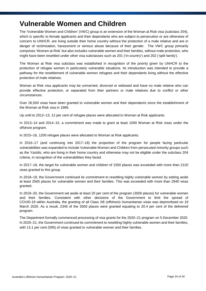# **Vulnerable Women and Children**

The 'Vulnerable Women and Children' (VWC) group is an extension of the Woman at Risk visa (subclass 204), which is specific to female applicants and their dependants who are subject to persecution or are otherwise of concern to UNHCR, are living outside their home country without the protection of a male relative and are in danger of victimisation, harassment or serious abuse because of their gender. The VWC group primarily comprises 'Women at Risk' but also includes vulnerable women and their families, without male protection, who might have been resettled under other visa subclasses such as 201 ('in-country') and 202 ('split family').

The Woman at Risk visa subclass was established in recognition of the priority given by UNHCR to the protection of refugee women in particularly vulnerable situations. Its introduction was intended to provide a pathway for the resettlement of vulnerable women refugees and their dependants living without the effective protection of male relatives.

Woman at Risk visa applicants may be unmarried, divorced or widowed and have no male relative who can provide effective protection, or separated from their partners or male relatives due to conflict or other circumstances.

Over 26,500 visas have been granted to vulnerable women and their dependants since the establishment of the Woman at Risk visa in 1989.

Up until to 2012–13, 12 per cent of refugee places were allocated to Woman at Risk applicants.

In 2013–14 and 2014–15, a commitment was made to grant at least 1000 Woman at Risk visas under the offshore program.

In 2015–16, 1200 refugee places were allocated to Woman at Risk applicants.

In 2016–17 (and continuing into 2017–18) the proportion of the program for people facing particular vulnerabilities was expanded to include Vulnerable Women and Children from persecuted minority groups such as the Yazidis, who are living in their home country and otherwise may not be eligible under the subclass 204 criteria, in recognition of the vulnerabilities they faced.

In 2017–18, the target for vulnerable women and children of 1550 places was exceeded with more than 2120 visas granted to this group.

In 2018–19, the Government continued its commitment to resettling highly vulnerable women by setting aside at least 2565 places for vulnerable women and their families. This was exceeded with more than 2940 visas granted.

In 2019–20, the Government set aside at least 20 per cent of the program (3500 places) for vulnerable women and their families. Consistent with other decisions of the Government to limit the spread of COVID-19 within Australia, the granting of all Class XB (offshore) Humanitarian visas was deprioritised on 19 March 2020. As a result, 2345 of the 3500 places were granted equating to 20.4 per cent of the delivered program.

The Department formally commenced processing of visa grants for the 2020–21 program on 5 December 2020. In 2020–21, the Government continued its commitment to resettling highly vulnerable women and their families, with 13.1 per cent (595) of visas granted to vulnerable women and their families.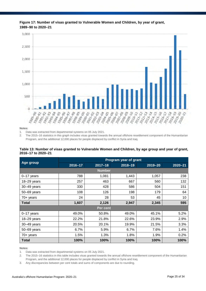

**Figure 17: Number of visas granted to Vulnerable Women and Children, by year of grant, 1989–90 to 2020–21**

**Notes:** 

1. Data was extracted from departmental systems on 05 July 2021.

2. The 2015–16 statistics in this graph includes visas granted towards the annual offshore resettlement component of the Humanitarian Program, and the additional 12,000 places for people displaced by conflict in Syria and Iraq.

| Table 13: Number of visas granted to Vulnerable Women and Children, by age group and year of grant, |  |  |
|-----------------------------------------------------------------------------------------------------|--|--|
| 2016-17 to 2020-21                                                                                  |  |  |

|                 | Program year of grant |               |             |             |             |  |  |
|-----------------|-----------------------|---------------|-------------|-------------|-------------|--|--|
| Age group       | 2016-17               | $2017 - 18$   | $2018 - 19$ | $2019 - 20$ | $2020 - 21$ |  |  |
|                 |                       | <b>Number</b> |             |             |             |  |  |
| $0-17$ years    | 788                   | 1,081         | 1,443       | 1,057       | 238         |  |  |
| 18-29 years     | 257                   | 463           | 667         | 560         | 132         |  |  |
| 30-49 years     | 330                   | 428           | 586         | 504         | 151         |  |  |
| 50-69 years     | 108                   | 126           | 198         | 179         | 64          |  |  |
| $70+$ years     | 24                    | 28            | 53          | 45          | 10          |  |  |
| <b>Total</b>    | 1,607                 | 2,126         | 2,947       | 2,345       | 595         |  |  |
|                 |                       | Per cent      |             |             |             |  |  |
| $0-17$ years    | 49.0%                 | 50.8%         | 49.0%       | 45.1%       | 5.2%        |  |  |
| $18 - 29$ years | 22.2%                 | 21.8%         | 22.6%       | 23.9%       | 2.9%        |  |  |
| 30-49 years     | 20.5%                 | 20.1%         | 19.9%       | 21.5%       | 3.3%        |  |  |
| 50-69 years     | 6.7%                  | 5.9%          | 6.7%        | 7.6%        | 1.4%        |  |  |
| $70+$ years     | 1.5%                  | 1.3%          | 1.8%        | 1.9%        | 0.2%        |  |  |
| <b>Total</b>    | 100%                  | 100%          | 100%        | 100%        | 100%        |  |  |

**Notes:** 

1. Data was extracted from departmental systems on 05 July 2021.

2. The 2015–16 statistics in this table includes visas granted towards the annual offshore resettlement component of the Humanitarian Program, and the additional 12,000 places for people displaced by conflict in Syria and Iraq.

3. Any discrepancies between per cent totals and sums of components are due to rounding.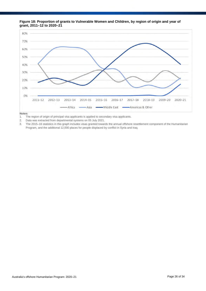



**Notes:** 

1. The region of origin of principal visa applicants is applied to secondary visa applicants.

2. Data was extracted from departmental systems on 05 July 2021.

3. The 2015–16 statistics in this graph includes visas granted towards the annual offshore resettlement component of the Humanitarian Program, and the additional 12,000 places for people displaced by conflict in Syria and Iraq.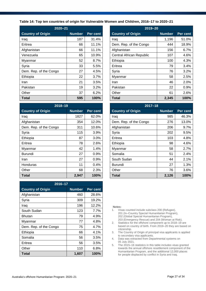### **Table 14: Top ten countries of origin for Vulnerable Women and Children, 2016–17 to 2020–21**

| $2020 - 21$              |               |          | $2019 - 20$              |               |          |
|--------------------------|---------------|----------|--------------------------|---------------|----------|
| <b>Country of Origin</b> | <b>Number</b> | Per cent | <b>Country of Origin</b> | <b>Number</b> | Per cent |
| Iraq                     | 187           | 31.4%    | Iraq                     | 1,196         | 51.0%    |
| Eritrea                  | 66            | 11.1%    | Dem. Rep. of the Congo   | 444           | 18.9%    |
| Afghanistan              | 66            | 11.1%    | Afghanistan              | 156           | 6.7%     |
| Venezuela                | 65            | 10.9%    | Central African Republic | 107           | 4.6%     |
| Myanmar                  | 52            | $8.7\%$  | Ethiopia                 | 100           | 4.3%     |
| Syria                    | 33            | 5.5%     | Eritrea                  | 79            | 3.4%     |
| Dem. Rep. of the Congo   | 27            | 4.5%     | Syria                    | 76            | 3.2%     |
| Ethiopia                 | 22            | 3.7%     | Myanmar                  | 58            | 2.5%     |
| Iran                     | 21            | 3.5%     | Iran                     | 46            | 2.0%     |
| Pakistan                 | 19            | 3.2%     | Pakistan                 | 22            | 0.9%     |
| Other                    | 37            | 6.2%     | Other                    | 61            | 2.6%     |
| <b>Total</b>             | 595           | 100%     | <b>Total</b>             | 2,345         | 100%     |

| 2018-19                  |               |          | $2017 - 18$              |               |                 |  |
|--------------------------|---------------|----------|--------------------------|---------------|-----------------|--|
| <b>Country of Origin</b> | <b>Number</b> | Per cent | <b>Country of Origin</b> | <b>Number</b> | <b>Per cent</b> |  |
| Iraq                     | 1827          | 62.0%    | Iraq                     | 985           | 46.3%           |  |
| Afghanistan              | 354           | 12.0%    | Dem. Rep. of the Congo   | 276           | 13.0%           |  |
| Dem. Rep. of the Congo   | 311           | 10.6%    | Afghanistan              | 206           | 9.7%            |  |
| Syria                    | 115           | 3.9%     | Syria                    | 202           | 9.5%            |  |
| Ethiopia                 | 87            | 3.0%     | Eritrea                  | 103           | 4.8%            |  |
| Eritrea                  | 78            | 2.6%     | Ethiopia                 | 98            | 4.6%            |  |
| Myanmar                  | 42            | 1.4%     | Myanmar                  | 58            | 2.7%            |  |
| Burundi                  | 27            | 0.9%     | Somalia                  | 51            | 2.4%            |  |
| <b>Iran</b>              | 27            | 0.9%     | South Sudan              | 44            | 2.1%            |  |
| Honduras                 | 11            | 0.4%     | <b>Burundi</b>           | 27            | 1.3%            |  |
| Other                    | 68            | 2.3%     | Other                    | 76            | 3.6%            |  |
| <b>Total</b>             | 2,947         | 100%     | <b>Total</b>             | 2,126         | 100%            |  |

| 2016-17                  |               |          |  |  |  |  |  |  |
|--------------------------|---------------|----------|--|--|--|--|--|--|
| <b>Country of Origin</b> | <b>Number</b> | Per cent |  |  |  |  |  |  |
| Afghanistan              | 460           | 28.6%    |  |  |  |  |  |  |
| Syria                    | 309           | 19.2%    |  |  |  |  |  |  |
| Iraq                     | 196           | 12.2%    |  |  |  |  |  |  |
| South Sudan              | 123           | 7.7%     |  |  |  |  |  |  |
| Bhutan                   | 79            | 4.9%     |  |  |  |  |  |  |
| Myanmar                  | 77            | 4.8%     |  |  |  |  |  |  |
| Dem. Rep. of the Congo   | 75            | 4.7%     |  |  |  |  |  |  |
| Ethiopia                 | 66            | 4.1%     |  |  |  |  |  |  |
| Somalia                  | 56            | 3.5%     |  |  |  |  |  |  |
| Eritrea                  | 56            | 3.5%     |  |  |  |  |  |  |
| Other                    | 110           | 6.8%     |  |  |  |  |  |  |
| Total                    | 1,607         | 100%     |  |  |  |  |  |  |

| 2019-20                         |               |          |  |  |  |
|---------------------------------|---------------|----------|--|--|--|
| <b>Country of Origin</b>        | <b>Number</b> | Per cent |  |  |  |
| Iraq                            | 1,196         | 51.0%    |  |  |  |
| Dem. Rep. of the Congo          | 444           | 18.9%    |  |  |  |
| Afghanistan                     | 156           | 6.7%     |  |  |  |
| <b>Central African Republic</b> | 107           | 4.6%     |  |  |  |
| Ethiopia                        | 100           | 4.3%     |  |  |  |
| Eritrea                         | 79            | $3.4\%$  |  |  |  |
| Syria                           | 76            | 3.2%     |  |  |  |
| Myanmar                         | 58            | 2.5%     |  |  |  |
| Iran                            | 46            | 2.0%     |  |  |  |
| Pakistan                        | 22            | $0.9\%$  |  |  |  |
| Other                           | 61            | 2.6%     |  |  |  |
| <b>Total</b>                    | 2,345         | 100%     |  |  |  |

| 2018-19                  |               |          |         | $2017 - 18$              |               |          |
|--------------------------|---------------|----------|---------|--------------------------|---------------|----------|
| <b>Country of Origin</b> | <b>Number</b> | Per cent |         | <b>Country of Origin</b> | <b>Number</b> | Per cent |
| Iraq                     | 1827          | 62.0%    | Iraq    |                          | 985           | 46.3%    |
| Afghanistan              | 354           | 12.0%    |         | Dem. Rep. of the Congo   | 276           | 13.0%    |
| Dem. Rep. of the Congo   | 311           | 10.6%    |         | Afghanistan              | 206           | 9.7%     |
| Syria                    | 115           | 3.9%     | Syria   |                          | 202           | 9.5%     |
| Ethiopia                 | 87            | 3.0%     | Eritrea |                          | 103           | 4.8%     |
| Eritrea                  | 78            | 2.6%     |         | Ethiopia                 | 98            | 4.6%     |
| Myanmar                  | 42            | 1.4%     |         | Myanmar                  | 58            | 2.7%     |
| Burundi                  | 27            | 0.9%     |         | Somalia                  | 51            | 2.4%     |
| Iran                     | 27            | 0.9%     |         | South Sudan              | 44            | 2.1%     |
| Honduras                 | 11            | 0.4%     |         | <b>Burundi</b>           | 27            | 1.3%     |
| Other                    | 68            | 2.3%     | Other   |                          | 76            | 3.6%     |
| Total                    | 2,947         | 100%     | Total   |                          | 2,126         | 100%     |

- 1. Visas counted include subclass 200 (Refugee), 201 (In–Country Special Humanitarian Program), 202 (Global Special Humanitarian Program), 203 (Emergency Rescue) and 204 (Woman at Risk).
- 2. Statistics for the offshore component up to 2018–19 are based on country of birth. From 2019–20 they are based on citizenship.
- 3. The Country of Origin of principal visa applicants is applied to secondary visa applicants.
- 4. Data was extracted from Departmental systems on 05 July 2021.
- 5. The 2015–16 statistics in this table includes visas granted towards the annual offshore resettlement component of the Humanitarian Program, and the additional 12,000 places for people displaced by conflict in Syria and Iraq.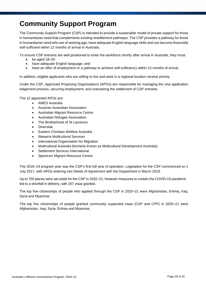# **Community Support Program**

The Community Support Program (CSP) is intended to provide a sustainable model of private support for those in humanitarian need that complements existing resettlement pathways. The CSP provides a pathway for those in humanitarian need who are of working age, have adequate English language skills and can become financially self-sufficient within 12 months of arrival in Australia.

To ensure CSP entrants are well positioned to enter the workforce shortly after arrival in Australia, they must:

- $\bullet$  be aged 18–50
- have adequate English language, and
- have an offer of employment or a pathway to achieve self-sufficiency within 12 months of arrival.

In addition, eligible applicants who are willing to live and work in a regional location receive priority.

Under the CSP, Approved Proposing Organisations (APOs) are responsible for managing the visa application lodgement process, securing employment, and overseeing the settlement of CSP entrants.

The 12 appointed APOs are:

- AMES Australia
- Assyrian Australian Association
- Australian Migrant Resource Centre
- Australian Refugee Association
- The Brotherhood of St Laurence
- **Diversitat**
- Eastern Christian Welfare Australia
- Illawarra Multicultural Services
- International Organization for Migration
- Multicultural Australia (formerly known as Multicultural Development Australia)
- Settlement Services International
- Spectrum Migrant Resource Centre

The 2018–19 program year was the CSP's first full year of operation. Legislation for the CSP commenced on 1 July 2017, with APOs entering into Deeds of Agreement with the Department in March 2018.

Up to 750 places were set aside for the CSP in 2020–21, however measures to contain the COVID-19 pandemic led to a shortfall in delivery, with 207 visas granted.

The top five citizenships of people who applied through the CSP in 2020–21 were Afghanistan, Eritrea, Iraq, Syria and Myanmar.

The top five citizenships of people granted community supported visas (CSP and CPP) in 2020–21 were Afghanistan, Iraq, Syria, Eritrea and Myanmar.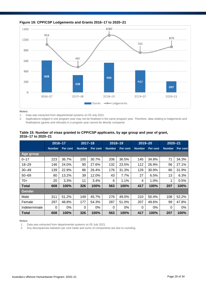

### **Figure 19: CPP/CSP Lodgements and Grants 2016–17 to 2020–21**

**Notes:** 

1. Data was extracted from departmental systems on 05 July 2021.

2. Applications lodged in one program year may not be finalised in the same program year. Therefore, data relating to lodgements and finalisations (grants and refusals) in a program year cannot be directly compared.

### **Table 15: Number of visas granted to CPP/CSP applicants, by age group and year of grant, 2016–17 to 2020–21**

|               | $2016 - 17$   |          | $2017 - 18$   |          | $2018 - 19$   |          | $2019 - 20$   |          | $2020 - 21$   |          |
|---------------|---------------|----------|---------------|----------|---------------|----------|---------------|----------|---------------|----------|
|               | <b>Number</b> | Per cent | <b>Number</b> | Per cent | <b>Number</b> | Per cent | <b>Number</b> | Per cent | <b>Number</b> | Per cent |
| Age group     |               |          |               |          |               |          |               |          |               |          |
| $0 - 17$      | 223           | 36.7%    | 100           | 30.7%    | 206           | 36.5%    | 145           | 34.8%    | 71            | 34.3%    |
| $18 - 29$     | 146           | 24.0%    | 90            | 27.6%    | 132           | 23.5%    | 112           | 26.9%    | 56            | 27.1%    |
| $30 - 49$     | 139           | 22.9%    | 86            | 26.4%    | 176           | 31.3%    | 129           | 30.9%    | 66            | 31.9%    |
| $50 - 69$     | 80            | 13.2%    | 39            | 12.0%    | 43            | 7.7%     | 27            | 6.5%     | 13            | 6.3%     |
| $70+$         | 20            | 3.3%     | 11            | 3.4%     | 6             | 1.1%     | 4             | 1.0%     | 1             | 0.5%     |
| <b>Total</b>  | 608           | 100%     | 326           | 100%     | 563           | 100%     | 417           | 100%     | 207           | 100%     |
| Gender        |               |          |               |          |               |          |               |          |               |          |
| Male          | 311           | 51.2%    | 149           | 45.7%    | 276           | 49.0%    | 210           | 50.4%    | 108           | 52.2%    |
| Female        | 297           | 48.8%    | 177           | 54.3%    | 287           | 51.0%    | 207           | 49.6%    | 99            | 47.8%    |
| Indeterminate | 0             | 0%       | $\Omega$      | 0%       | 0             | $0\%$    | $\Omega$      | $0\%$    | $\Omega$      | 0%       |
| Total         | 608           | 100%     | 326           | 100%     | 563           | 100%     | 417           | 100%     | 207           | 100%     |

**Notes:** 

1. Data was extracted from departmental systems on 05 July 2021.

2. Any discrepancies between per cent totals and sums of components are due to rounding.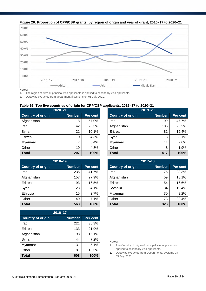



**Notes:** 

1. The region of birth of principal visa applicants is applied to secondary visa applicants.

2. Data was extracted from departmental systems on 05 July 2021.

### **Table 16: Top five countries of origin for CPP/CSP applicants, 2016–17 to 2020–21**

| $2020 - 21$       |               |          |                          | $2019 - 20$   |          |
|-------------------|---------------|----------|--------------------------|---------------|----------|
| Country of origin | <b>Number</b> | Per cent | <b>Country of origin</b> | <b>Number</b> | Per cent |
| Afghanistan       | 118           | 57.0%    | Irag                     | 199           | 47.7%    |
| Iraq              | 42            | 20.3%    | Afghanistan              | 105           | 25.2%    |
| Syria             | 21            | 10.1%    | Eritrea                  | 81            | 19.4%    |
| Eritrea           | 9             | 4.3%     | Syria                    | 13            | 3.1%     |
| Myanmar           | ⇁             | 3.4%     | Myanmar                  | 11            | 2.6%     |
| Other             | 10            | 4.8%     | Other                    | 8             | 1.9%     |
| <b>Total</b>      | 207           | 100%     | <b>Total</b>             | 417           | 100%     |

| $2018 - 19$              |               |          | $2017 - 18$              |               |          |
|--------------------------|---------------|----------|--------------------------|---------------|----------|
| <b>Country of origin</b> | <b>Number</b> | Per cent | <b>Country of origin</b> | <b>Number</b> | Per cent |
| Iraq                     | 235           | 41.7%    | Iraq                     | 76            | 23.3%    |
| Afghanistan              | 157           | 27.9%    | Afghanistan              | 59            | 18.1%    |
| Eritrea                  | 93            | 16.5%    | Eritrea                  | 54            | 16.6%    |
| Syria                    | 23            | 4.1%     | Somalia                  | 34            | 10.4%    |
| Ethiopia                 | 15            | 2.7%     | Myanmar                  | 30            | 9.2%     |
| Other                    | 40            | 7.1%     | Other                    | 73            | 22.4%    |
| <b>Total</b>             | 563           | 100%     | <b>Total</b>             | 326           | 100%     |

| 2016-17                                               |     |       |  |  |  |
|-------------------------------------------------------|-----|-------|--|--|--|
| <b>Country of origin</b><br><b>Number</b><br>Per cent |     |       |  |  |  |
| Iraq                                                  | 221 | 36.3% |  |  |  |
| Eritrea                                               | 133 | 21.9% |  |  |  |
| Afghanistan                                           | 98  | 16.1% |  |  |  |
| Syria                                                 | 44  | 7.2%  |  |  |  |
| Myanmar                                               | 31  | 5.1%  |  |  |  |
| Other                                                 | 81  | 13.3% |  |  |  |
| <b>Total</b>                                          | 608 | 100%  |  |  |  |

| 2019-20                  |               |          |  |  |  |
|--------------------------|---------------|----------|--|--|--|
| <b>Country of origin</b> | <b>Number</b> | Per cent |  |  |  |
| Iraq                     | 199           | 47.7%    |  |  |  |
| Afghanistan              | 105           | 25.2%    |  |  |  |
| Eritrea                  | 81            | 19.4%    |  |  |  |
| Syria                    | 13            | 3.1%     |  |  |  |
| Myanmar                  | 11            | 2.6%     |  |  |  |
| Other                    | 8             | 1.9%     |  |  |  |
| <b>Total</b>             | 417           | 100%     |  |  |  |

| $2017 - 18$              |               |                 |  |  |  |
|--------------------------|---------------|-----------------|--|--|--|
| <b>Country of origin</b> | <b>Number</b> | <b>Per cent</b> |  |  |  |
| Iraq                     | 76            | 23.3%           |  |  |  |
| Afghanistan              | 59            | 18.1%           |  |  |  |
| Eritrea                  | 54            | 16.6%           |  |  |  |
| Somalia                  | 34            | 10.4%           |  |  |  |
| Myanmar                  | 30            | 9.2%            |  |  |  |
| Other                    | 73            | 22.4%           |  |  |  |
| Total                    | 326           | 100%            |  |  |  |

- 1. The Country of origin of principal visa applicants is applied to secondary visa applicants.
- 2. Data was extracted from Departmental systems on 05 July 2021.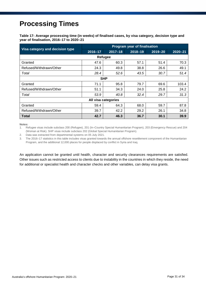# **Processing Times**

**Table 17: Average processing time (in weeks) of finalised cases, by visa category, decision type and year of finalisation, 2016–17 to 2020–21**

|                                 | <b>Program year of finalisation</b> |             |             |             |             |  |  |
|---------------------------------|-------------------------------------|-------------|-------------|-------------|-------------|--|--|
| Visa category and decision type | $2016 - 17$                         | $2017 - 18$ | $2018 - 19$ | $2019 - 20$ | $2020 - 21$ |  |  |
| Refugee                         |                                     |             |             |             |             |  |  |
| Granted                         | 47.6                                | 60.3        | 57.1        | 51.4        | 70.3        |  |  |
| Refused/Withdrawn/Other         | 24.3                                | 49.8        | 38.8        | 26.6        | 49.1        |  |  |
| Total                           | 28.4                                | 52.6        | 43.5        | 30.7        | 51.4        |  |  |
|                                 |                                     | <b>SHP</b>  |             |             |             |  |  |
| Granted                         | 71.1                                | 95.8        | 79.7        | 69.6        | 103.4       |  |  |
| Refused/Withdrawn/Other         | 51.1                                | 34.3        | 24.0        | 25.8        | 24.2        |  |  |
| Total                           | 53.9                                | 40.8        | 32.4        | 29.7        | 31.3        |  |  |
| All visa categories             |                                     |             |             |             |             |  |  |
| Granted                         | 59.4                                | 64.3        | 68.0        | 59.7        | 87.8        |  |  |
| Refused/Withdrawn/Other         | 39.7                                | 42.2        | 29.2        | 26.1        | 34.8        |  |  |
| <b>Total</b>                    | 42.7                                | 46.3        | 36.7        | 30.1        | 39.9        |  |  |

**Notes:** 

1. Refugee visas include subclass 200 (Refugee), 201 (In–Country Special Humanitarian Program), 203 (Emergency Rescue) and 204 (Woman at Risk). SHP visas include subclass 202 (Global Special Humanitarian Program).

2. Data was extracted from departmental systems on 05 July 2021.

3. The 2016–17 statistics in this table includes visas granted towards the annual offshore resettlement component of the Humanitarian Program, and the additional 12,000 places for people displaced by conflict in Syria and Iraq.

An application cannot be granted until health, character and security clearances requirements are satisfied. Other issues such as restricted access to clients due to instability in the countries in which they reside, the need for additional or specialist health and character checks and other variables, can delay visa grants.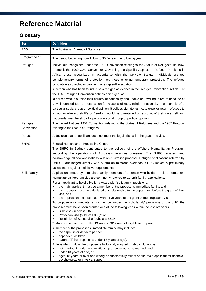# **Reference Material**

### **Glossary**

| <b>Term</b>           | <b>Definition</b>                                                                                                                                                                                                                                                                                                                                                                                                                                                                                                                                                                                                                                                                                                                                                                                                                                                                                                                                                                                                                                                                                                                                                                                                                                                                                                                                                                                                                                                                                           |
|-----------------------|-------------------------------------------------------------------------------------------------------------------------------------------------------------------------------------------------------------------------------------------------------------------------------------------------------------------------------------------------------------------------------------------------------------------------------------------------------------------------------------------------------------------------------------------------------------------------------------------------------------------------------------------------------------------------------------------------------------------------------------------------------------------------------------------------------------------------------------------------------------------------------------------------------------------------------------------------------------------------------------------------------------------------------------------------------------------------------------------------------------------------------------------------------------------------------------------------------------------------------------------------------------------------------------------------------------------------------------------------------------------------------------------------------------------------------------------------------------------------------------------------------------|
| ABS                   | The Australian Bureau of Statistics.                                                                                                                                                                                                                                                                                                                                                                                                                                                                                                                                                                                                                                                                                                                                                                                                                                                                                                                                                                                                                                                                                                                                                                                                                                                                                                                                                                                                                                                                        |
| Program year          | The period beginning from 1 July to 30 June of the following year.                                                                                                                                                                                                                                                                                                                                                                                                                                                                                                                                                                                                                                                                                                                                                                                                                                                                                                                                                                                                                                                                                                                                                                                                                                                                                                                                                                                                                                          |
| Refugee               | Individuals recognized under the 1951 Convention relating to the Status of Refugees; its 1967<br>Protocol; the 1969 OAU Convention Governing the Specific Aspects of Refugee Problems in<br>Africa; those recognized in accordance with the UNHCR Statute; individuals granted<br>complementary forms of protection; or, those enjoying temporary protection. The refugee<br>population also includes people in a refugee-like situation.<br>A person who has been found to be a refugee as defined in the Refugee Convention. Article 1 of<br>the 1951 Refugee Convention defines a 'refugee' as:<br>'a person who is outside their country of nationality and unable or unwilling to return because of<br>a well-founded fear of persecution for reasons of race, religion, nationality, membership of a<br>particular social group or political opinion. It obliges signatories not to expel or return refugees to<br>a country where their life or freedom would be threatened on account of their race, religion,<br>nationality, membership of a particular social group or political opinion'                                                                                                                                                                                                                                                                                                                                                                                                        |
| Refugee<br>Convention | The United Nations 1951 Convention relating to the Status of Refugees and the 1967 Protocol<br>relating to the Status of Refugees.                                                                                                                                                                                                                                                                                                                                                                                                                                                                                                                                                                                                                                                                                                                                                                                                                                                                                                                                                                                                                                                                                                                                                                                                                                                                                                                                                                          |
| Refusal               | A decision that an applicant does not meet the legal criteria for the grant of a visa.                                                                                                                                                                                                                                                                                                                                                                                                                                                                                                                                                                                                                                                                                                                                                                                                                                                                                                                                                                                                                                                                                                                                                                                                                                                                                                                                                                                                                      |
| <b>SHPC</b>           | Special Humanitarian Processing Centre.<br>The SHPC in Sydney contributes to the delivery of the offshore Humanitarian Program,<br>supporting the operations of Australia's missions overseas. The SHPC registers and<br>acknowledge all new applications with an Australian proposer. Refugee applications referred by<br>UNHCR are lodged directly with Australian missions overseas. SHPC makes a preliminary<br>assessment against legislative requirements.                                                                                                                                                                                                                                                                                                                                                                                                                                                                                                                                                                                                                                                                                                                                                                                                                                                                                                                                                                                                                                            |
| <b>Split Family</b>   | Applications made by immediate family members of a person who holds or held a permanent<br>Humanitarian Program visa are commonly referred to as 'split family' applications.<br>For an applicant to be eligible for a visa under 'split family' provisions:<br>the main applicant must be a member of the proposer's immediate family, and<br>the proposer must have declared this relationship to the department before the grant of their<br>visa, and<br>the application must be made within five years of the grant of the proposer's visa.<br>To propose an immediate family member under the 'split family' provisions of the SHP, the<br>proposer must have been granted one of the following visas within the last five years:<br>SHP visa (subclass 202)<br>$\bullet$<br>Protection visa (subclass 866)*, or<br>٠<br>Resolution of Status visa (subclass 851)*.<br>* IMAs who arrived on or after 13 August 2012 are not eligible to propose.<br>A member of the proposer's 'immediate family' may include:<br>their spouse or de facto partner<br>٠<br>dependent children<br>٠<br>parents (if the proposer is under 18 years of age).<br>٠<br>A dependent child is the proposer's biological, adopted or step child who is:<br>not married, in a de facto relationship or engaged to be married; and<br>٠<br>under 18 years of age, or<br>$\bullet$<br>aged 18 years or over and wholly or substantially reliant on the main applicant for financial,<br>٠<br>psychological or physical support. |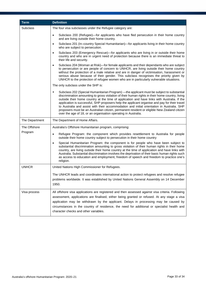| <b>Term</b>     | <b>Definition</b>                                                                                                                                                                                                                                                                                                                                                                                                                                                                                                                                                                                                                                                |
|-----------------|------------------------------------------------------------------------------------------------------------------------------------------------------------------------------------------------------------------------------------------------------------------------------------------------------------------------------------------------------------------------------------------------------------------------------------------------------------------------------------------------------------------------------------------------------------------------------------------------------------------------------------------------------------------|
| <b>Subclass</b> | The four visa subclasses under the Refugee category are:                                                                                                                                                                                                                                                                                                                                                                                                                                                                                                                                                                                                         |
|                 | Subclass 200 (Refugee)—for applicants who have fled persecution in their home country<br>$\bullet$<br>and are living outside their home country.                                                                                                                                                                                                                                                                                                                                                                                                                                                                                                                 |
|                 | Subclass 201 (In-country Special Humanitarian)—for applicants living in their home country<br>٠<br>who are subject to persecution.                                                                                                                                                                                                                                                                                                                                                                                                                                                                                                                               |
|                 | Subclass 203 (Emergency Rescue)-for applicants who are living in or outside their home<br>٠<br>country and who are in urgent need of protection because there is an immediate threat to<br>their life and security.                                                                                                                                                                                                                                                                                                                                                                                                                                              |
|                 | Subclass 204 (Woman at Risk)—for female applicants and their dependants who are subject<br>$\bullet$<br>to persecution or are people of concern to UNHCR, are living outside their home country<br>without the protection of a male relative and are in danger of victimisation, harassment or<br>serious abuse because of their gender. This subclass recognises the priority given by<br>UNHCR to the protection of refugee women who are in particularly vulnerable situations.                                                                                                                                                                               |
|                 | The only subclass under the SHP is:                                                                                                                                                                                                                                                                                                                                                                                                                                                                                                                                                                                                                              |
|                 | Subclass 202 (Special Humanitarian Program) —the applicant must be subject to substantial<br>٠<br>discrimination amounting to gross violation of their human rights in their home country, living<br>outside their home country at the time of application and have links with Australia. If the<br>application is successful, SHP proposers help the applicant organise and pay for their travel<br>to Australia and assist with their accommodation and initial orientation in Australia. SHP<br>proposers must be an Australian citizen, permanent resident or eligible New Zealand citizen<br>over the age of 18, or an organisation operating in Australia. |
| The Department  | The Department of Home Affairs.                                                                                                                                                                                                                                                                                                                                                                                                                                                                                                                                                                                                                                  |
| The Offshore    | Australia's Offshore Humanitarian program, comprising:                                                                                                                                                                                                                                                                                                                                                                                                                                                                                                                                                                                                           |
| Program         | Refugee Program: the component which provides resettlement to Australia for people<br>$\bullet$<br>outside their home country subject to persecution in their home country                                                                                                                                                                                                                                                                                                                                                                                                                                                                                       |
|                 | Special Humanitarian Program: the component is for people who have been subject to<br>$\bullet$<br>substantial discrimination amounting to gross violation of their human rights in their home<br>country, are living outside their home country at the time of application and have links with<br>Australia. Substantial discrimination involves the deprivation of their basic human rights such<br>as access to education and employment, freedom of speech and freedom to practice one's<br>religion.                                                                                                                                                        |
| <b>UNHCR</b>    | United Nations High Commissioner for Refugees.                                                                                                                                                                                                                                                                                                                                                                                                                                                                                                                                                                                                                   |
|                 | The UNHCR leads and coordinates international action to protect refugees and resolve refugee<br>problems worldwide. It was established by United Nations General Assembly on 14 December<br>1950.                                                                                                                                                                                                                                                                                                                                                                                                                                                                |
| Visa process    | All offshore visa applications are registered and then assessed against visa criteria. Following<br>assessment, applications are finalised, either being granted or refused. At any stage a visa<br>application may be withdrawn by the applicant. Delays in processing may be caused by<br>circumstances in the country of residence, the need for additional or specialist health and<br>character checks and other variables.                                                                                                                                                                                                                                 |